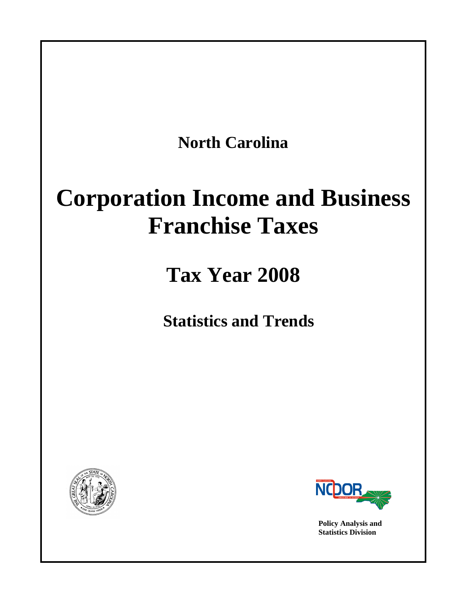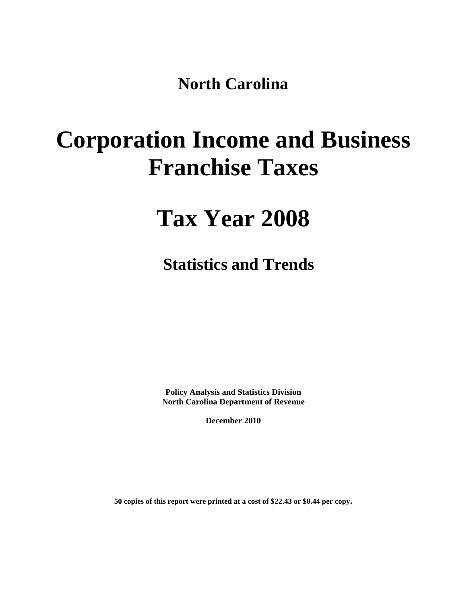**North Carolina**

# **Corporation Income and Business Franchise Taxes**

## **Tax Year 2008**

**Statistics and Trends**

**Policy Analysis and Statistics Division North Carolina Department of Revenue**

**December 2010**

**50 copies of this report were printed at a cost of \$22.43 or \$0.44 per copy.**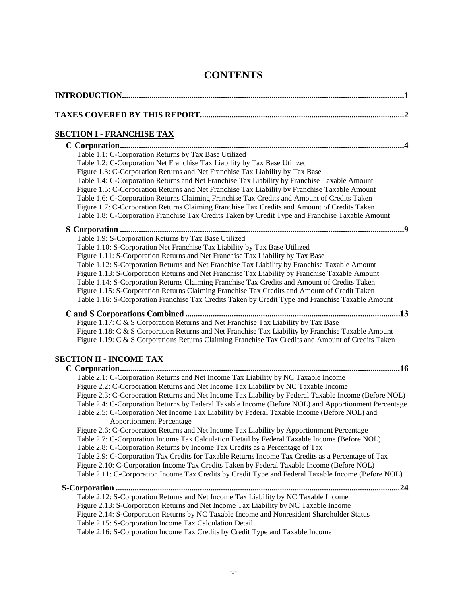## **CONTENTS**

\_\_\_\_\_\_\_\_\_\_\_\_\_\_\_\_\_\_\_\_\_\_\_\_\_\_\_\_\_\_\_\_\_\_\_\_\_\_\_\_\_\_\_\_\_\_\_\_\_\_\_\_\_\_\_\_\_\_\_\_\_\_\_\_\_\_\_\_\_\_\_\_\_\_\_\_\_\_

| <u>SECTION I - FRANCHISE TAX</u>                                                                                                                                                                                                                                                                                                                                                                                                                                                                                                                                                                                                                                                                                                                                                                                                                                                                                                                                                                                                                                                                                         |
|--------------------------------------------------------------------------------------------------------------------------------------------------------------------------------------------------------------------------------------------------------------------------------------------------------------------------------------------------------------------------------------------------------------------------------------------------------------------------------------------------------------------------------------------------------------------------------------------------------------------------------------------------------------------------------------------------------------------------------------------------------------------------------------------------------------------------------------------------------------------------------------------------------------------------------------------------------------------------------------------------------------------------------------------------------------------------------------------------------------------------|
| Table 1.1: C-Corporation Returns by Tax Base Utilized<br>Table 1.2: C-Corporation Net Franchise Tax Liability by Tax Base Utilized<br>Figure 1.3: C-Corporation Returns and Net Franchise Tax Liability by Tax Base<br>Table 1.4: C-Corporation Returns and Net Franchise Tax Liability by Franchise Taxable Amount<br>Figure 1.5: C-Corporation Returns and Net Franchise Tax Liability by Franchise Taxable Amount<br>Table 1.6: C-Corporation Returns Claiming Franchise Tax Credits and Amount of Credits Taken<br>Figure 1.7: C-Corporation Returns Claiming Franchise Tax Credits and Amount of Credits Taken<br>Table 1.8: C-Corporation Franchise Tax Credits Taken by Credit Type and Franchise Taxable Amount                                                                                                                                                                                                                                                                                                                                                                                                  |
|                                                                                                                                                                                                                                                                                                                                                                                                                                                                                                                                                                                                                                                                                                                                                                                                                                                                                                                                                                                                                                                                                                                          |
| Table 1.9: S-Corporation Returns by Tax Base Utilized<br>Table 1.10: S-Corporation Net Franchise Tax Liability by Tax Base Utilized<br>Figure 1.11: S-Corporation Returns and Net Franchise Tax Liability by Tax Base<br>Table 1.12: S-Corporation Returns and Net Franchise Tax Liability by Franchise Taxable Amount<br>Figure 1.13: S-Corporation Returns and Net Franchise Tax Liability by Franchise Taxable Amount<br>Table 1.14: S-Corporation Returns Claiming Franchise Tax Credits and Amount of Credits Taken<br>Figure 1.15: S-Corporation Returns Claiming Franchise Tax Credits and Amount of Credit Taken<br>Table 1.16: S-Corporation Franchise Tax Credits Taken by Credit Type and Franchise Taxable Amount                                                                                                                                                                                                                                                                                                                                                                                            |
| Figure 1.17: C & S Corporation Returns and Net Franchise Tax Liability by Tax Base<br>Figure 1.18: C & S Corporation Returns and Net Franchise Tax Liability by Franchise Taxable Amount<br>Figure 1.19: C & S Corporations Returns Claiming Franchise Tax Credits and Amount of Credits Taken                                                                                                                                                                                                                                                                                                                                                                                                                                                                                                                                                                                                                                                                                                                                                                                                                           |
|                                                                                                                                                                                                                                                                                                                                                                                                                                                                                                                                                                                                                                                                                                                                                                                                                                                                                                                                                                                                                                                                                                                          |
| <u>SECTION II - INCOME TAX</u>                                                                                                                                                                                                                                                                                                                                                                                                                                                                                                                                                                                                                                                                                                                                                                                                                                                                                                                                                                                                                                                                                           |
| Table 2.1: C-Corporation Returns and Net Income Tax Liability by NC Taxable Income<br>Figure 2.2: C-Corporation Returns and Net Income Tax Liability by NC Taxable Income<br>Figure 2.3: C-Corporation Returns and Net Income Tax Liability by Federal Taxable Income (Before NOL)<br>Table 2.4: C-Corporation Returns by Federal Taxable Income (Before NOL) and Apportionment Percentage<br>Table 2.5: C-Corporation Net Income Tax Liability by Federal Taxable Income (Before NOL) and<br><b>Apportionment Percentage</b><br>Figure 2.6: C-Corporation Returns and Net Income Tax Liability by Apportionment Percentage<br>Table 2.7: C-Corporation Income Tax Calculation Detail by Federal Taxable Income (Before NOL)<br>Table 2.8: C-Corporation Returns by Income Tax Credits as a Percentage of Tax<br>Table 2.9: C-Corporation Tax Credits for Taxable Returns Income Tax Credits as a Percentage of Tax<br>Figure 2.10: C-Corporation Income Tax Credits Taken by Federal Taxable Income (Before NOL)<br>Table 2.11: C-Corporation Income Tax Credits by Credit Type and Federal Taxable Income (Before NOL) |
| Table 2.12: S-Corporation Returns and Net Income Tax Liability by NC Taxable Income                                                                                                                                                                                                                                                                                                                                                                                                                                                                                                                                                                                                                                                                                                                                                                                                                                                                                                                                                                                                                                      |
| Figure 2.13: S-Corporation Returns and Net Income Tax Liability by NC Taxable Income<br>$\overline{1}$ $\overline{1}$ $\overline{1}$ $\overline{1}$ $\overline{1}$ $\overline{1}$ $\overline{1}$ $\overline{1}$ $\overline{1}$ $\overline{1}$ $\overline{1}$ $\overline{1}$ $\overline{1}$ $\overline{1}$ $\overline{1}$ $\overline{1}$ $\overline{1}$ $\overline{1}$ $\overline{1}$ $\overline{1}$ $\overline{1}$ $\overline{1}$ $\overline{1}$ $\overline{1}$ $\overline{$                                                                                                                                                                                                                                                                                                                                                                                                                                                                                                                                                                                                                                             |

[Figure 2.14: S-Corporation Returns by NC Taxable Income and Nonresident Shareholder Status](#page-30-0) [Table 2.15: S-Corporation Income Tax Calculation Detail](#page-31-0)

[Table 2.16: S-Corporation Income Tax Credits by Credit Type and Taxable Income](#page-32-0)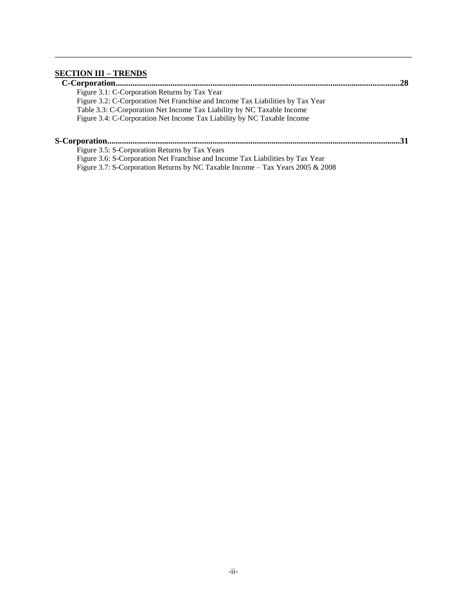## **[SECTION III –](#page-33-0) TRENDS**

|                                                                                | .28 |
|--------------------------------------------------------------------------------|-----|
| Figure 3.1: C-Corporation Returns by Tax Year                                  |     |
| Figure 3.2: C-Corporation Net Franchise and Income Tax Liabilities by Tax Year |     |
| Table 3.3: C-Corporation Net Income Tax Liability by NC Taxable Income         |     |
| Figure 3.4: C-Corporation Net Income Tax Liability by NC Taxable Income        |     |
|                                                                                |     |
|                                                                                |     |
| Figure 3.5: S-Corporation Returns by Tax Years                                 |     |
| Figure 3.6: S-Corporation Net Franchise and Income Tax Liabilities by Tax Year |     |
| Figure 3.7: S-Corporation Returns by NC Taxable Income – Tax Years 2005 & 2008 |     |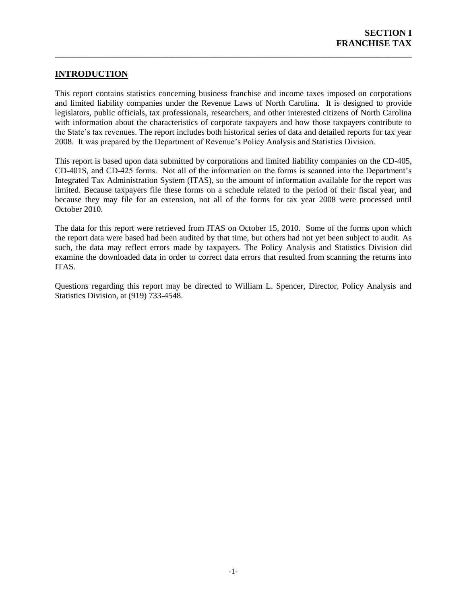## **INTRODUCTION**

This report contains statistics concerning business franchise and income taxes imposed on corporations and limited liability companies under the Revenue Laws of North Carolina. It is designed to provide legislators, public officials, tax professionals, researchers, and other interested citizens of North Carolina with information about the characteristics of corporate taxpayers and how those taxpayers contribute to the State's tax revenues. The report includes both historical series of data and detailed reports for tax year 2008. It was prepared by the Department of Revenue's Policy Analysis and Statistics Division.

\_\_\_\_\_\_\_\_\_\_\_\_\_\_\_\_\_\_\_\_\_\_\_\_\_\_\_\_\_\_\_\_\_\_\_\_\_\_\_\_\_\_\_\_\_\_\_\_\_\_\_\_\_\_\_\_\_\_\_\_\_\_\_\_\_\_\_\_\_\_\_\_\_\_\_\_\_\_

This report is based upon data submitted by corporations and limited liability companies on the CD-405, CD-401S, and CD-425 forms. Not all of the information on the forms is scanned into the Department's Integrated Tax Administration System (ITAS), so the amount of information available for the report was limited. Because taxpayers file these forms on a schedule related to the period of their fiscal year, and because they may file for an extension, not all of the forms for tax year 2008 were processed until October 2010.

The data for this report were retrieved from ITAS on October 15, 2010. Some of the forms upon which the report data were based had been audited by that time, but others had not yet been subject to audit. As such, the data may reflect errors made by taxpayers. The Policy Analysis and Statistics Division did examine the downloaded data in order to correct data errors that resulted from scanning the returns into ITAS.

Questions regarding this report may be directed to William L. Spencer, Director, Policy Analysis and Statistics Division, at (919) 733-4548.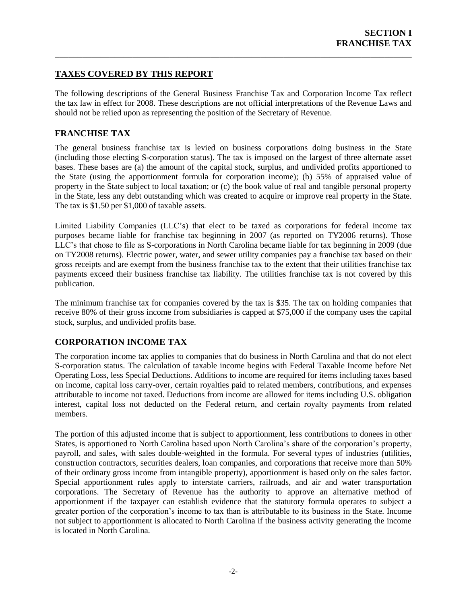## <span id="page-7-0"></span>**TAXES COVERED BY THIS REPORT**

The following descriptions of the General Business Franchise Tax and Corporation Income Tax reflect the tax law in effect for 2008. These descriptions are not official interpretations of the Revenue Laws and should not be relied upon as representing the position of the Secretary of Revenue.

\_\_\_\_\_\_\_\_\_\_\_\_\_\_\_\_\_\_\_\_\_\_\_\_\_\_\_\_\_\_\_\_\_\_\_\_\_\_\_\_\_\_\_\_\_\_\_\_\_\_\_\_\_\_\_\_\_\_\_\_\_\_\_\_\_\_\_\_\_\_\_\_\_\_\_\_\_\_

## **FRANCHISE TAX**

The general business franchise tax is levied on business corporations doing business in the State (including those electing S-corporation status). The tax is imposed on the largest of three alternate asset bases. These bases are (a) the amount of the capital stock, surplus, and undivided profits apportioned to the State (using the apportionment formula for corporation income); (b) 55% of appraised value of property in the State subject to local taxation; or (c) the book value of real and tangible personal property in the State, less any debt outstanding which was created to acquire or improve real property in the State. The tax is \$1.50 per \$1,000 of taxable assets.

Limited Liability Companies (LLC's) that elect to be taxed as corporations for federal income tax purposes became liable for franchise tax beginning in 2007 (as reported on TY2006 returns). Those LLC's that chose to file as S-corporations in North Carolina became liable for tax beginning in 2009 (due on TY2008 returns). Electric power, water, and sewer utility companies pay a franchise tax based on their gross receipts and are exempt from the business franchise tax to the extent that their utilities franchise tax payments exceed their business franchise tax liability. The utilities franchise tax is not covered by this publication.

The minimum franchise tax for companies covered by the tax is \$35. The tax on holding companies that receive 80% of their gross income from subsidiaries is capped at \$75,000 if the company uses the capital stock, surplus, and undivided profits base.

## **CORPORATION INCOME TAX**

The corporation income tax applies to companies that do business in North Carolina and that do not elect S-corporation status. The calculation of taxable income begins with Federal Taxable Income before Net Operating Loss, less Special Deductions. Additions to income are required for items including taxes based on income, capital loss carry-over, certain royalties paid to related members, contributions, and expenses attributable to income not taxed. Deductions from income are allowed for items including U.S. obligation interest, capital loss not deducted on the Federal return, and certain royalty payments from related members.

The portion of this adjusted income that is subject to apportionment, less contributions to donees in other States, is apportioned to North Carolina based upon North Carolina's share of the corporation's property, payroll, and sales, with sales double-weighted in the formula. For several types of industries (utilities, construction contractors, securities dealers, loan companies, and corporations that receive more than 50% of their ordinary gross income from intangible property), apportionment is based only on the sales factor. Special apportionment rules apply to interstate carriers, railroads, and air and water transportation corporations. The Secretary of Revenue has the authority to approve an alternative method of apportionment if the taxpayer can establish evidence that the statutory formula operates to subject a greater portion of the corporation's income to tax than is attributable to its business in the State. Income not subject to apportionment is allocated to North Carolina if the business activity generating the income is located in North Carolina.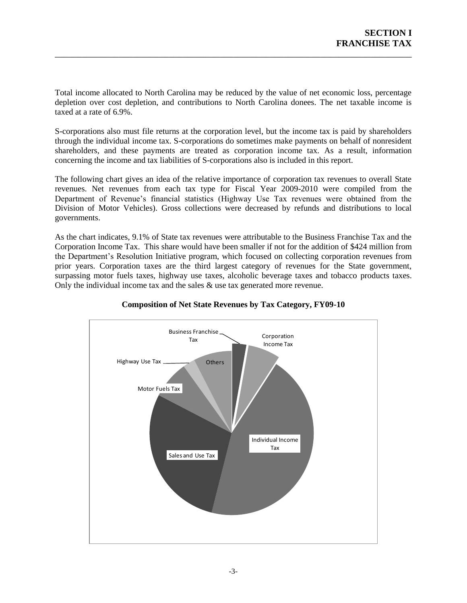Total income allocated to North Carolina may be reduced by the value of net economic loss, percentage depletion over cost depletion, and contributions to North Carolina donees. The net taxable income is taxed at a rate of 6.9%.

\_\_\_\_\_\_\_\_\_\_\_\_\_\_\_\_\_\_\_\_\_\_\_\_\_\_\_\_\_\_\_\_\_\_\_\_\_\_\_\_\_\_\_\_\_\_\_\_\_\_\_\_\_\_\_\_\_\_\_\_\_\_\_\_\_\_\_\_\_\_\_\_\_\_\_\_\_\_

S-corporations also must file returns at the corporation level, but the income tax is paid by shareholders through the individual income tax. S-corporations do sometimes make payments on behalf of nonresident shareholders, and these payments are treated as corporation income tax. As a result, information concerning the income and tax liabilities of S-corporations also is included in this report.

The following chart gives an idea of the relative importance of corporation tax revenues to overall State revenues. Net revenues from each tax type for Fiscal Year 2009-2010 were compiled from the Department of Revenue's financial statistics (Highway Use Tax revenues were obtained from the Division of Motor Vehicles). Gross collections were decreased by refunds and distributions to local governments.

As the chart indicates, 9.1% of State tax revenues were attributable to the Business Franchise Tax and the Corporation Income Tax. This share would have been smaller if not for the addition of \$424 million from the Department's Resolution Initiative program, which focused on collecting corporation revenues from prior years. Corporation taxes are the third largest category of revenues for the State government, surpassing motor fuels taxes, highway use taxes, alcoholic beverage taxes and tobacco products taxes. Only the individual income tax and the sales  $\&$  use tax generated more revenue.



## **Composition of Net State Revenues by Tax Category, FY09-10**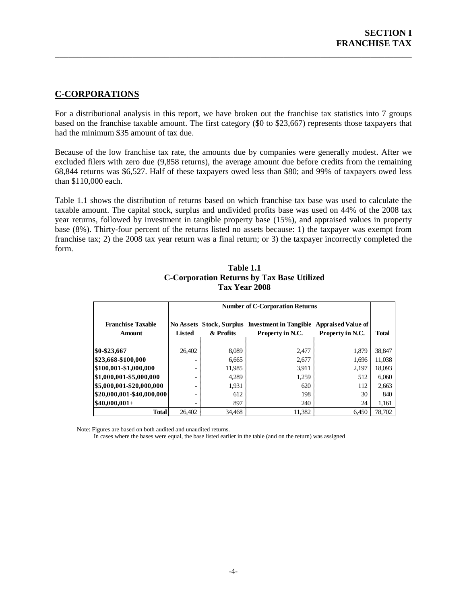## <span id="page-9-0"></span>**C-CORPORATIONS**

For a distributional analysis in this report, we have broken out the franchise tax statistics into 7 groups based on the franchise taxable amount. The first category (\$0 to \$23,667) represents those taxpayers that had the minimum \$35 amount of tax due.

\_\_\_\_\_\_\_\_\_\_\_\_\_\_\_\_\_\_\_\_\_\_\_\_\_\_\_\_\_\_\_\_\_\_\_\_\_\_\_\_\_\_\_\_\_\_\_\_\_\_\_\_\_\_\_\_\_\_\_\_\_\_\_\_\_\_\_\_\_\_\_\_\_\_\_\_\_\_

Because of the low franchise tax rate, the amounts due by companies were generally modest. After we excluded filers with zero due (9,858 returns), the average amount due before credits from the remaining 68,844 returns was \$6,527. Half of these taxpayers owed less than \$80; and 99% of taxpayers owed less than \$110,000 each.

Table 1.1 shows the distribution of returns based on which franchise tax base was used to calculate the taxable amount. The capital stock, surplus and undivided profits base was used on 44% of the 2008 tax year returns, followed by investment in tangible property base (15%), and appraised values in property base (8%). Thirty-four percent of the returns listed no assets because: 1) the taxpayer was exempt from franchise tax; 2) the 2008 tax year return was a final return; or 3) the taxpayer incorrectly completed the form.

<span id="page-9-1"></span>

|                                           |        | <b>Number of C-Corporation Returns</b>                                                                                                     |        |       |        |  |  |  |  |
|-------------------------------------------|--------|--------------------------------------------------------------------------------------------------------------------------------------------|--------|-------|--------|--|--|--|--|
| <b>Franchise Taxable</b><br><b>Amount</b> | Listed | No Assets Stock, Surplus Investment in Tangible<br><b>Appraised Value of</b><br>& Profits<br>Property in N.C.<br>Property in N.C.<br>Total |        |       |        |  |  |  |  |
|                                           |        |                                                                                                                                            |        |       |        |  |  |  |  |
| \$0-\$23,667                              | 26,402 | 8,089                                                                                                                                      | 2,477  | 1,879 | 38,847 |  |  |  |  |
| \$23,668-\$100,000                        |        | 6,665                                                                                                                                      | 2,677  | 1.696 | 11,038 |  |  |  |  |
| \$100,001-\$1,000,000                     |        | 11,985                                                                                                                                     | 3,911  | 2,197 | 18,093 |  |  |  |  |
| \$1,000,001-\$5,000,000                   |        | 4.289                                                                                                                                      | 1,259  | 512   | 6,060  |  |  |  |  |
| \$5,000,001-\$20,000,000                  |        | 1,931                                                                                                                                      | 620    | 112   | 2,663  |  |  |  |  |
| \$20,000,001-\$40,000,000                 |        | 612                                                                                                                                        | 198    | 30    | 840    |  |  |  |  |
| $$40,000,001+$                            |        | 897                                                                                                                                        | 240    | 24    | 1,161  |  |  |  |  |
| <b>Total</b>                              | 26.402 | 34.468                                                                                                                                     | 11.382 | 6.450 | 78.702 |  |  |  |  |

#### **Table 1.1 C-Corporation Returns by Tax Base Utilized Tax Year 2008**

Note: Figures are based on both audited and unaudited returns.

In cases where the bases were equal, the base listed earlier in the table (and on the return) was assigned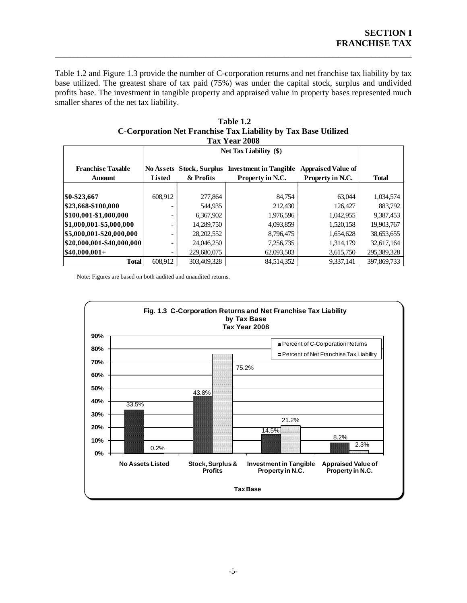Table 1.2 and Figure 1.3 provide the number of C-corporation returns and net franchise tax liability by tax base utilized. The greatest share of tax paid (75%) was under the capital stock, surplus and undivided profits base. The investment in tangible property and appraised value in property bases represented much smaller shares of the net tax liability.

\_\_\_\_\_\_\_\_\_\_\_\_\_\_\_\_\_\_\_\_\_\_\_\_\_\_\_\_\_\_\_\_\_\_\_\_\_\_\_\_\_\_\_\_\_\_\_\_\_\_\_\_\_\_\_\_\_\_\_\_\_\_\_\_\_\_\_\_\_\_\_\_\_\_\_\_\_\_

| Tax Year 2008                                                                                                                                                                            |         |              |            |           |             |  |  |
|------------------------------------------------------------------------------------------------------------------------------------------------------------------------------------------|---------|--------------|------------|-----------|-------------|--|--|
| Net Tax Liability (\$)                                                                                                                                                                   |         |              |            |           |             |  |  |
| <b>Appraised Value of</b><br><b>Franchise Taxable</b><br>No Assets Stock, Surplus Investment in Tangible<br>Property in N.C.<br>Property in N.C.<br>Listed<br>& Profits<br><b>Amount</b> |         |              |            |           |             |  |  |
|                                                                                                                                                                                          |         |              |            |           |             |  |  |
| \$0-\$23,667                                                                                                                                                                             | 608.912 | 277,864      | 84,754     | 63.044    | 1,034,574   |  |  |
| \$23,668-\$100,000                                                                                                                                                                       |         | 544,935      | 212,430    | 126,427   | 883.792     |  |  |
| \$100,001-\$1,000,000                                                                                                                                                                    |         | 6,367,902    | 1,976,596  | 1,042,955 | 9,387,453   |  |  |
| \$1,000,001-\$5,000,000                                                                                                                                                                  |         | 14,289,750   | 4,093,859  | 1,520,158 | 19,903,767  |  |  |
| \$5,000,001-\$20,000,000                                                                                                                                                                 |         | 28, 202, 552 | 8,796,475  | 1,654,628 | 38,653,655  |  |  |
| \$20,000,001-\$40,000,000                                                                                                                                                                |         | 24,046,250   | 7,256,735  | 1,314,179 | 32,617,164  |  |  |
| $$40,000,001+$                                                                                                                                                                           |         | 229,680,075  | 62,093,503 | 3,615,750 | 295,389,328 |  |  |
| <b>Total</b>                                                                                                                                                                             | 608.912 | 303,409,328  | 84,514,352 | 9.337.141 | 397,869,733 |  |  |

<span id="page-10-0"></span>**Table 1.2 C-Corporation Net Franchise Tax Liability by Tax Base Utilized**

Note: Figures are based on both audited and unaudited returns.

<span id="page-10-1"></span>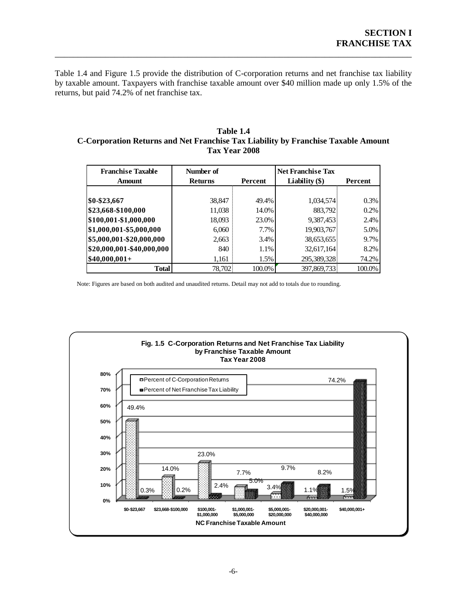Table 1.4 and Figure 1.5 provide the distribution of C-corporation returns and net franchise tax liability by taxable amount. Taxpayers with franchise taxable amount over \$40 million made up only 1.5% of the returns, but paid 74.2% of net franchise tax.

\_\_\_\_\_\_\_\_\_\_\_\_\_\_\_\_\_\_\_\_\_\_\_\_\_\_\_\_\_\_\_\_\_\_\_\_\_\_\_\_\_\_\_\_\_\_\_\_\_\_\_\_\_\_\_\_\_\_\_\_\_\_\_\_\_\_\_\_\_\_\_\_\_\_\_\_\_\_

#### <span id="page-11-0"></span>**Table 1.4 C-Corporation Returns and Net Franchise Tax Liability by Franchise Taxable Amount Tax Year 2008**

| <b>Franchise Taxable</b><br><b>Amount</b> | Number of<br><b>Returns</b> | <b>Percent</b> | <b>Net Franchise Tax</b><br>Liability $(\$)$ | Percent |
|-------------------------------------------|-----------------------------|----------------|----------------------------------------------|---------|
|                                           |                             |                |                                              |         |
| \$0-\$23,667                              | 38,847                      | 49.4%          | 1,034,574                                    | $0.3\%$ |
| \$23,668-\$100,000                        | 11,038                      | 14.0%          | 883,792                                      | 0.2%    |
| \$100,001-\$1,000,000                     | 18,093                      | 23.0%          | 9,387,453                                    | 2.4%    |
| \$1,000,001-\$5,000,000                   | 6,060                       | 7.7%           | 19,903,767                                   | 5.0%    |
| \$5,000,001-\$20,000,000                  | 2,663                       | 3.4%           | 38,653,655                                   | 9.7%    |
| \$20,000,001-\$40,000,000                 | 840                         | 1.1%           | 32,617,164                                   | 8.2%    |
| $$40,000,001+$                            | 1,161                       | 1.5%           | 295,389,328                                  | 74.2%   |
| <b>Total</b>                              | 78,702                      | 100.0%         | 397,869,733                                  | 100.0%  |

Note: Figures are based on both audited and unaudited returns. Detail may not add to totals due to rounding.

<span id="page-11-1"></span>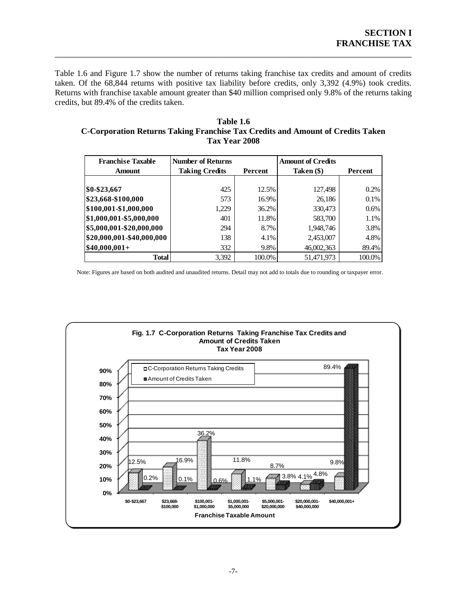Table 1.6 and Figure 1.7 show the number of returns taking franchise tax credits and amount of credits taken. Of the 68,844 returns with positive tax liability before credits, only 3,392 (4.9%) took credits. Returns with franchise taxable amount greater than \$40 million comprised only 9.8% of the returns taking credits, but 89.4% of the credits taken.

\_\_\_\_\_\_\_\_\_\_\_\_\_\_\_\_\_\_\_\_\_\_\_\_\_\_\_\_\_\_\_\_\_\_\_\_\_\_\_\_\_\_\_\_\_\_\_\_\_\_\_\_\_\_\_\_\_\_\_\_\_\_\_\_\_\_\_\_\_\_\_\_\_\_\_\_\_\_

#### <span id="page-12-0"></span>**Table 1.6 C-Corporation Returns Taking Franchise Tax Credits and Amount of Credits Taken Tax Year 2008**

| <b>Franchise Taxable</b>  | <b>Number of Returns</b> |         | <b>Amount of Credits</b> |         |
|---------------------------|--------------------------|---------|--------------------------|---------|
| Amount                    | <b>Taking Credits</b>    | Percent | Taken (\$)               | Percent |
|                           |                          |         |                          |         |
| \$0-\$23,667              | 425                      | 12.5%   | 127,498                  | 0.2%    |
| \$23,668-\$100,000        | 573                      | 16.9%   | 26,186                   | 0.1%    |
| \$100,001-\$1,000,000     | 1,229                    | 36.2%   | 330,473                  | 0.6%    |
| \$1,000,001-\$5,000,000   | 401                      | 11.8%   | 583,700                  | 1.1%    |
| \$5,000,001-\$20,000,000  | 294                      | 8.7%    | 1,948,746                | 3.8%    |
| \$20,000,001-\$40,000,000 | 138                      | 4.1%    | 2,453,007                | 4.8%    |
| $$40,000,001+$            | 332                      | 9.8%    | 46,002,363               | 89.4%   |
| <b>Total</b>              | 3,392                    | 100.0%  | 51.471.973               | 100.0%  |

Note: Figures are based on both audited and unaudited returns. Detail may not add to totals due to rounding or taxpayer error.

<span id="page-12-1"></span>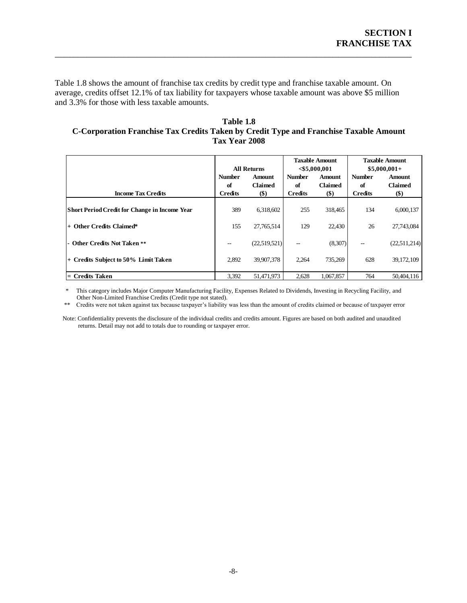Table 1.8 shows the amount of franchise tax credits by credit type and franchise taxable amount. On average, credits offset 12.1% of tax liability for taxpayers whose taxable amount was above \$5 million and 3.3% for those with less taxable amounts.

\_\_\_\_\_\_\_\_\_\_\_\_\_\_\_\_\_\_\_\_\_\_\_\_\_\_\_\_\_\_\_\_\_\_\_\_\_\_\_\_\_\_\_\_\_\_\_\_\_\_\_\_\_\_\_\_\_\_\_\_\_\_\_\_\_\_\_\_\_\_\_\_\_\_\_\_\_\_

#### <span id="page-13-0"></span>**Table 1.8 C-Corporation Franchise Tax Credits Taken by Credit Type and Franchise Taxable Amount Tax Year 2008**

|                                               | <b>All Returns</b>  |                          | <b>Taxable Amount</b><br>$<$ \$5,000,001 |                                 | <b>Taxable Amount</b><br>$$5,000,001+$ |                                 |
|-----------------------------------------------|---------------------|--------------------------|------------------------------------------|---------------------------------|----------------------------------------|---------------------------------|
|                                               | <b>Number</b><br>of | Amount<br><b>Claimed</b> | <b>Number</b><br>of                      | <b>Amount</b><br><b>Claimed</b> | <b>Number</b><br>of                    | <b>Amount</b><br><b>Claimed</b> |
| <b>Income Tax Credits</b>                     | <b>Credits</b>      | $($)$                    | <b>Credits</b>                           | \$)                             | <b>Credits</b>                         | $(\$)$                          |
| Short Period Credit for Change in Income Year | 389                 | 6.318.602                | 255                                      | 318,465                         | 134                                    | 6,000,137                       |
| $+$ Other Credits Claimed*                    | 155                 | 27,765,514               | 129                                      | 22,430                          | 26                                     | 27,743,084                      |
| - Other Credits Not Taken **                  | --                  | (22,519,521)             | $\hspace{0.05cm}$                        | (8,307)                         | $\hspace{0.05cm} -$                    | (22,511,214)                    |
| + Credits Subject to 50% Limit Taken          | 2,892               | 39,907,378               | 2,264                                    | 735,269                         | 628                                    | 39, 172, 109                    |
| = Credits Taken                               | 3,392               | 51,471,973               | 2,628                                    | 1,067,857                       | 764                                    | 50,404,116                      |

 \* This category includes Major Computer Manufacturing Facility, Expenses Related to Dividends, Investing in Recycling Facility, and Other Non-Limited Franchise Credits (Credit type not stated).<br>
\*\* Credits were not taken against tax because taxnaver's liability

Credits were not taken against tax because taxpayer's liability was less than the amount of credits claimed or because of taxpayer error

 Note: Confidentiality prevents the disclosure of the individual credits and credits amount. Figures are based on both audited and unaudited returns. Detail may not add to totals due to rounding or taxpayer error.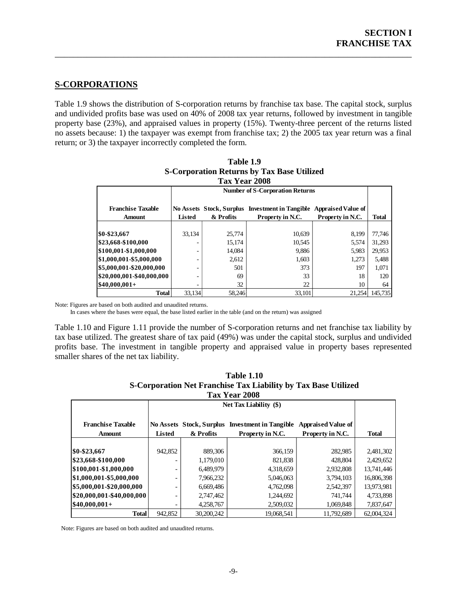## <span id="page-14-0"></span>**S-CORPORATIONS**

Table 1.9 shows the distribution of S-corporation returns by franchise tax base. The capital stock, surplus and undivided profits base was used on 40% of 2008 tax year returns, followed by investment in tangible property base (23%), and appraised values in property (15%). Twenty-three percent of the returns listed no assets because: 1) the taxpayer was exempt from franchise tax; 2) the 2005 tax year return was a final return; or 3) the taxpayer incorrectly completed the form.

\_\_\_\_\_\_\_\_\_\_\_\_\_\_\_\_\_\_\_\_\_\_\_\_\_\_\_\_\_\_\_\_\_\_\_\_\_\_\_\_\_\_\_\_\_\_\_\_\_\_\_\_\_\_\_\_\_\_\_\_\_\_\_\_\_\_\_\_\_\_\_\_\_\_\_\_\_\_

<span id="page-14-1"></span>

| Tax Year 2008                                                                                  |        |           |                  |                  |         |  |  |  |
|------------------------------------------------------------------------------------------------|--------|-----------|------------------|------------------|---------|--|--|--|
| <b>Number of S-Corporation Returns</b>                                                         |        |           |                  |                  |         |  |  |  |
|                                                                                                |        |           |                  |                  |         |  |  |  |
| <b>Franchise Taxable</b><br>No Assets Stock, Surplus Investment in Tangible Appraised Value of |        |           |                  |                  |         |  |  |  |
| <b>Amount</b>                                                                                  | Listed | & Profits | Property in N.C. | Property in N.C. | Total   |  |  |  |
|                                                                                                |        |           |                  |                  |         |  |  |  |
| \$0-\$23,667                                                                                   | 33,134 | 25,774    | 10,639           | 8,199            | 77.746  |  |  |  |
| \$23,668-\$100,000                                                                             |        | 15.174    | 10,545           | 5,574            | 31,293  |  |  |  |
| \$100,001-\$1,000,000                                                                          |        | 14,084    | 9,886            | 5,983            | 29,953  |  |  |  |
| \$1,000,001-\$5,000,000                                                                        |        | 2,612     | 1,603            | 1,273            | 5,488   |  |  |  |
| \$5,000,001-\$20,000,000                                                                       |        | 501       | 373              | 197              | 1.071   |  |  |  |
| \$20,000,001-\$40,000,000                                                                      |        | 69        | 33               | 18               | 120     |  |  |  |
| $$40,000,001+$                                                                                 |        | 32        | 22               | 10               | 64      |  |  |  |
| <b>Total</b>                                                                                   | 33,134 | 58,246    | 33,101           | 21,254           | 145,735 |  |  |  |

| Table 1.9                                         |
|---------------------------------------------------|
| <b>S-Corporation Returns by Tax Base Utilized</b> |
| $T = T - T$                                       |

Note: Figures are based on both audited and unaudited returns.

In cases where the bases were equal, the base listed earlier in the table (and on the return) was assigned

Table 1.10 and Figure 1.11 provide the number of S-corporation returns and net franchise tax liability by tax base utilized. The greatest share of tax paid (49%) was under the capital stock, surplus and undivided profits base. The investment in tangible property and appraised value in property bases represented smaller shares of the net tax liability.

<span id="page-14-2"></span>

| Corporation river ranging ran magnity of ran Dage Camped<br>Tax Year 2008 |               |            |                                                                     |                                               |              |  |  |
|---------------------------------------------------------------------------|---------------|------------|---------------------------------------------------------------------|-----------------------------------------------|--------------|--|--|
| <b>Net Tax Liability (\$)</b>                                             |               |            |                                                                     |                                               |              |  |  |
| <b>Franchise Taxable</b><br><b>Amount</b>                                 | <b>Listed</b> | & Profits  | No Assets Stock, Surplus Investment in Tangible<br>Property in N.C. | <b>Appraised Value of</b><br>Property in N.C. | <b>Total</b> |  |  |
|                                                                           |               |            |                                                                     |                                               |              |  |  |
| \$0-\$23,667                                                              | 942,852       | 889,306    | 366,159                                                             | 282,985                                       | 2,481,302    |  |  |
| \$23,668-\$100,000                                                        |               | 1,179,010  | 821,838                                                             | 428,804                                       | 2,429,652    |  |  |
| \$100,001-\$1,000,000                                                     | -             | 6,489,979  | 4,318,659                                                           | 2,932,808                                     | 13,741,446   |  |  |
| $$1,000,001 - $5,000,000$                                                 |               | 7,966,232  | 5,046,063                                                           | 3,794,103                                     | 16,806,398   |  |  |
| \$5,000,001-\$20,000,000                                                  | -             | 6,669,486  | 4,762,098                                                           | 2,542,397                                     | 13,973,981   |  |  |
| \$20,000,001-\$40,000,000                                                 |               | 2,747,462  | 1,244,692                                                           | 741,744                                       | 4,733,898    |  |  |
| $$40,000,001+$                                                            | -             | 4,258,767  | 2,509,032                                                           | 1,069,848                                     | 7,837,647    |  |  |
| <b>Total</b>                                                              | 942,852       | 30,200,242 | 19.068.541                                                          | 11.792.689                                    | 62,004,324   |  |  |

| <b>Table 1.10</b>                                              |
|----------------------------------------------------------------|
| S-Corporation Net Franchise Tax Liability by Tax Base Utilized |
| Tov Voor 2008                                                  |

Note: Figures are based on both audited and unaudited returns.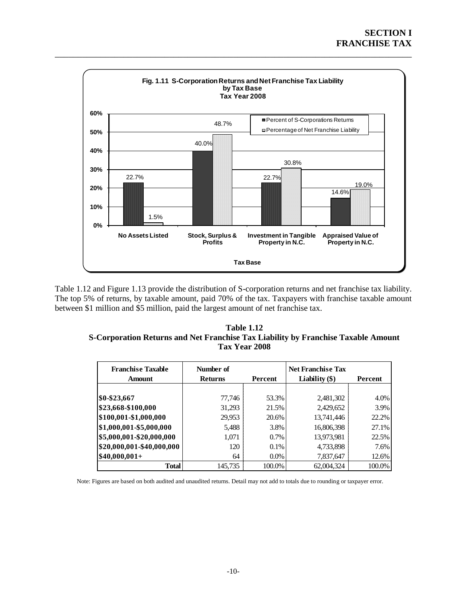

<span id="page-15-0"></span>\_\_\_\_\_\_\_\_\_\_\_\_\_\_\_\_\_\_\_\_\_\_\_\_\_\_\_\_\_\_\_\_\_\_\_\_\_\_\_\_\_\_\_\_\_\_\_\_\_\_\_\_\_\_\_\_\_\_\_\_\_\_\_\_\_\_\_\_\_\_\_\_\_\_\_\_\_\_

Table 1.12 and Figure 1.13 provide the distribution of S-corporation returns and net franchise tax liability. The top 5% of returns, by taxable amount, paid 70% of the tax. Taxpayers with franchise taxable amount between \$1 million and \$5 million, paid the largest amount of net franchise tax.

#### <span id="page-15-1"></span>**Table 1.12 S-Corporation Returns and Net Franchise Tax Liability by Franchise Taxable Amount Tax Year 2008**

| <b>Franchise Taxable</b><br><b>Amount</b> | Number of<br>Percent<br><b>Returns</b> |         | <b>Net Franchise Tax</b><br>Liability $(\$)$ | Percent |
|-------------------------------------------|----------------------------------------|---------|----------------------------------------------|---------|
|                                           |                                        |         |                                              |         |
| \$0-\$23,667                              | 77,746                                 | 53.3%   | 2,481,302                                    | 4.0%    |
| \$23,668-\$100,000                        | 31,293                                 | 21.5%   | 2,429,652                                    | 3.9%    |
| \$100,001-\$1,000,000                     | 29,953                                 | 20.6%   | 13,741,446                                   | 22.2%   |
| \$1,000,001-\$5,000,000                   | 5,488                                  | 3.8%    | 16,806,398                                   | 27.1%   |
| \$5,000,001-\$20,000,000                  | 1,071                                  | $0.7\%$ | 13,973,981                                   | 22.5%   |
| \$20,000,001-\$40,000,000                 | 120                                    | $0.1\%$ | 4,733,898                                    | 7.6%    |
| $$40,000,001+$                            | 64                                     | $0.0\%$ | 7,837,647                                    | 12.6%   |
| Total                                     | 145,735                                | 100.0%  | 62,004,324                                   | 100.0%  |

Note: Figures are based on both audited and unaudited returns. Detail may not add to totals due to rounding or taxpayer error.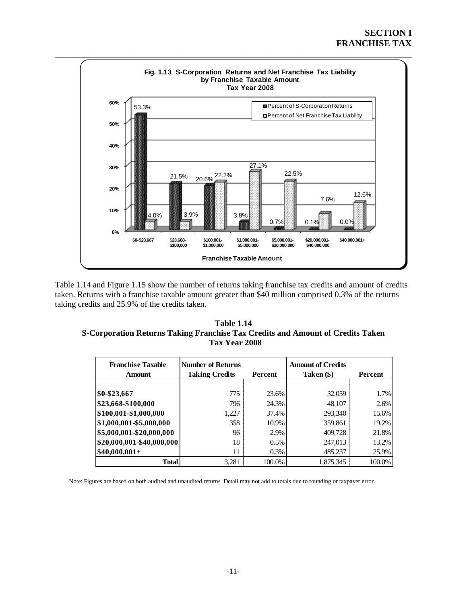

<span id="page-16-0"></span>Table 1.14 and Figure 1.15 show the number of returns taking franchise tax credits and amount of credits taken. Returns with a franchise taxable amount greater than \$40 million comprised 0.3% of the returns taking credits and 25.9% of the credits taken.

#### <span id="page-16-1"></span>**Table 1.14 S-Corporation Returns Taking Franchise Tax Credits and Amount of Credits Taken Tax Year 2008**

| <b>Franchise Taxable</b><br><b>Amount</b> | <b>Number of Returns</b><br><b>Taking Credits</b> | Percent | <b>Amount of Credits</b><br>Taken (\$) | Percent |
|-------------------------------------------|---------------------------------------------------|---------|----------------------------------------|---------|
|                                           |                                                   |         |                                        |         |
| \$0-\$23,667                              | 775                                               | 23.6%   | 32,059                                 | 1.7%    |
| \$23,668-\$100,000                        | 796                                               | 24.3%   | 48,107                                 | 2.6%    |
| \$100,001-\$1,000,000                     | 1,227                                             | 37.4%   | 293,340                                | 15.6%   |
| \$1,000,001-\$5,000,000                   | 358                                               | 10.9%   | 359,861                                | 19.2%   |
| \$5,000,001-\$20,000,000                  | 96                                                | 2.9%    | 409,728                                | 21.8%   |
| $ $20,000,001 - $40,000,000$              | 18                                                | 0.5%    | 247,013                                | 13.2%   |
| $$40,000,001+$                            | 11                                                | $0.3\%$ | 485,237                                | 25.9%   |
| <b>Total</b>                              | 3,281                                             | 100.0%  | 1,875,345                              | 100.0%  |

Note: Figures are based on both audited and unaudited returns. Detail may not add to totals due to rounding or taxpayer error.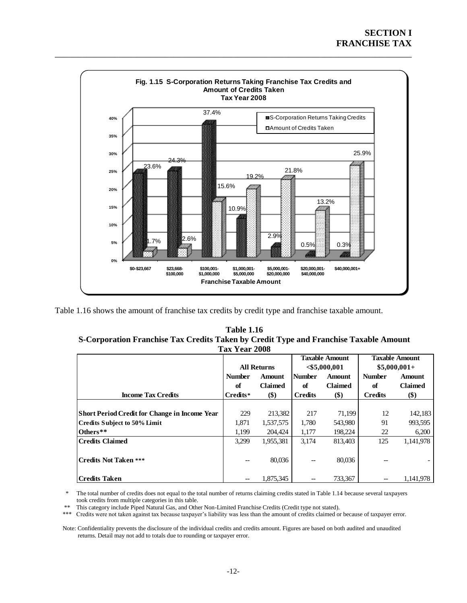

<span id="page-17-0"></span>\_\_\_\_\_\_\_\_\_\_\_\_\_\_\_\_\_\_\_\_\_\_\_\_\_\_\_\_\_\_\_\_\_\_\_\_\_\_\_\_\_\_\_\_\_\_\_\_\_\_\_\_\_\_\_\_\_\_\_\_\_\_\_\_\_\_\_\_\_\_\_\_\_\_\_\_\_\_

<span id="page-17-1"></span>Table 1.16 shows the amount of franchise tax credits by credit type and franchise taxable amount.

| <b>Table 1.16</b>                                                                     |
|---------------------------------------------------------------------------------------|
| S-Corporation Franchise Tax Credits Taken by Credit Type and Franchise Taxable Amount |
| <b>Tax Year 2008</b>                                                                  |

|                                                      |               |                    |                | <b>Taxable Amount</b> | <b>Taxable Amount</b> |               |  |
|------------------------------------------------------|---------------|--------------------|----------------|-----------------------|-----------------------|---------------|--|
|                                                      |               | <b>All Returns</b> |                | $<$ \$5,000,001       |                       | $$5,000,001+$ |  |
|                                                      | <b>Number</b> | <b>Amount</b>      | <b>Number</b>  | <b>Amount</b>         |                       | <b>Amount</b> |  |
|                                                      | of            | <b>Claimed</b>     | of             | <b>Claimed</b>        | of                    | Claimed       |  |
| <b>Income Tax Credits</b>                            | Credits*      | $($)$              | <b>Credits</b> | $($)$                 | <b>Credits</b>        | $($)$         |  |
|                                                      |               |                    |                |                       |                       |               |  |
| <b>Short Period Credit for Change in Income Year</b> | 229           | 213,382            | 217            | 71,199                | 12                    | 142,183       |  |
| Credits Subject to 50% Limit                         | 1,871         | 1,537,575          | 1,780          | 543,980               | 91                    | 993,595       |  |
| Others**                                             | 1,199         | 204,424            | 1,177          | 198,224               | 22                    | 6,200         |  |
| <b>Credits Claimed</b>                               | 3,299         | 1,955,381          | 3,174          | 813.403               | 125                   | 1.141.978     |  |
|                                                      |               |                    |                |                       |                       |               |  |
| <b>Credits Not Taken ***</b>                         | $- -$         | 80,036             | --             | 80,036                |                       |               |  |
|                                                      |               |                    |                |                       |                       |               |  |
| Credits Taken                                        | $- -$         | 1.875.345          | --             | 733,367               | $-$                   | 1.141.978     |  |

 \* The total number of credits does not equal to the total number of returns claiming credits stated in Table 1.14 because several taxpayers took credits from multiple categories in this table.

\*\* This category include Piped Natural Gas, and Other Non-Limited Franchise Credits (Credit type not stated).

Credits were not taken against tax because taxpayer's liability was less than the amount of credits claimed or because of taxpayer error.

 Note: Confidentiality prevents the disclosure of the individual credits and credits amount. Figures are based on both audited and unaudited returns. Detail may not add to totals due to rounding or taxpayer error.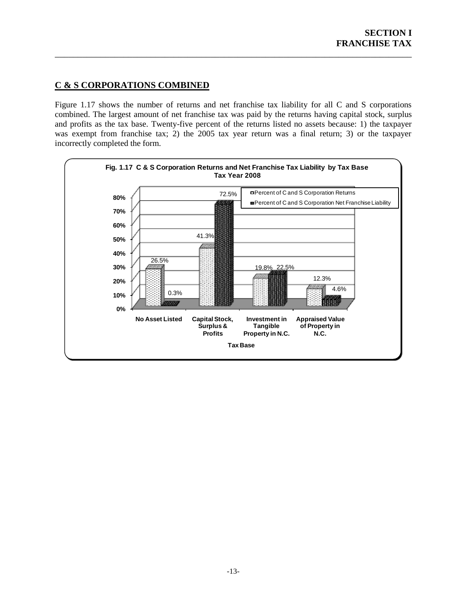## <span id="page-18-0"></span>**C & S CORPORATIONS COMBINED**

Figure 1.17 shows the number of returns and net franchise tax liability for all C and S corporations combined. The largest amount of net franchise tax was paid by the returns having capital stock, surplus and profits as the tax base. Twenty-five percent of the returns listed no assets because: 1) the taxpayer was exempt from franchise tax; 2) the 2005 tax year return was a final return; 3) or the taxpayer incorrectly completed the form.

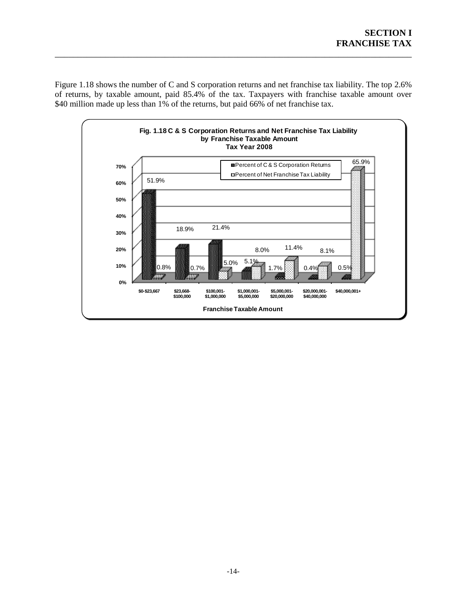Figure 1.18 shows the number of C and S corporation returns and net franchise tax liability. The top 2.6% of returns, by taxable amount, paid 85.4% of the tax. Taxpayers with franchise taxable amount over \$40 million made up less than 1% of the returns, but paid 66% of net franchise tax.

<span id="page-19-0"></span>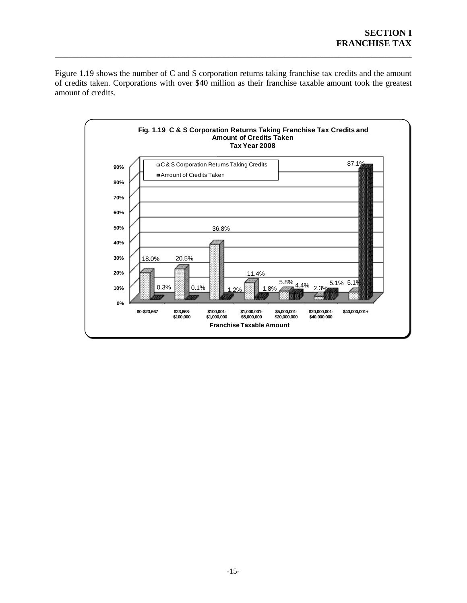Figure 1.19 shows the number of C and S corporation returns taking franchise tax credits and the amount of credits taken. Corporations with over \$40 million as their franchise taxable amount took the greatest amount of credits.

<span id="page-20-0"></span>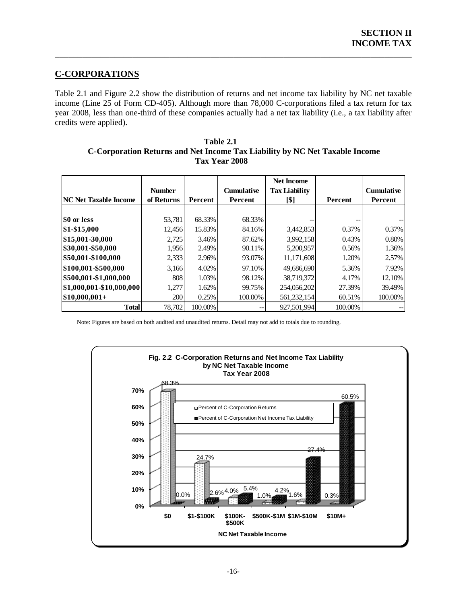## <span id="page-21-0"></span>**C-CORPORATIONS**

Table 2.1 and Figure 2.2 show the distribution of returns and net income tax liability by NC net taxable income (Line 25 of Form CD-405). Although more than 78,000 C-corporations filed a tax return for tax year 2008, less than one-third of these companies actually had a net tax liability (i.e., a tax liability after credits were applied).

\_\_\_\_\_\_\_\_\_\_\_\_\_\_\_\_\_\_\_\_\_\_\_\_\_\_\_\_\_\_\_\_\_\_\_\_\_\_\_\_\_\_\_\_\_\_\_\_\_\_\_\_\_\_\_\_\_\_\_\_\_\_\_\_\_\_\_\_\_\_\_\_\_\_\_\_\_\_

#### <span id="page-21-1"></span> **Table 2.1 C-Corporation Returns and Net Income Tax Liability by NC Net Taxable Income Tax Year 2008**

|                               | <b>Number</b> |                | <b>Cumulative</b> | <b>Net Income</b><br><b>Tax Liability</b> |         | <b>Cumulative</b> |
|-------------------------------|---------------|----------------|-------------------|-------------------------------------------|---------|-------------------|
| <b> NC Net Taxable Income</b> | of Returns    | <b>Percent</b> | Percent           | [\$]                                      | Percent | Percent           |
|                               |               |                |                   |                                           |         |                   |
| \$0 or less                   | 53,781        | 68.33%         | 68.33%            |                                           |         |                   |
| \$1-\$15,000                  | 12.456        | 15.83%         | 84.16%            | 3,442,853                                 | 0.37%   | 0.37%             |
| \$15,001-30,000               | 2,725         | 3.46%          | 87.62%            | 3,992,158                                 | 0.43%   | 0.80%             |
| \$30,001-\$50,000             | 1,956         | 2.49%          | 90.11%            | 5,200,957                                 | 0.56%   | 1.36%             |
| \$50,001-\$100,000            | 2,333         | 2.96%          | 93.07%            | 11,171,608                                | 1.20%   | 2.57%             |
| \$100,001-\$500,000           | 3,166         | 4.02%          | 97.10%            | 49,686,690                                | 5.36%   | 7.92%             |
| \$500,001-\$1,000,000         | 808           | 1.03%          | 98.12%            | 38,719,372                                | 4.17%   | 12.10%            |
| \$1,000,001-\$10,000,000      | 1,277         | 1.62%          | 99.75%            | 254,056,202                               | 27.39%  | 39.49%            |
| $ $10,000,001+$               | 200           | 0.25%          | 100.00%           | 561,232,154                               | 60.51%  | 100.00%           |
| <b>Total</b>                  | 78.702        | 100.00%        | --                | 927.501.994                               | 100.00% |                   |

Note: Figures are based on both audited and unaudited returns. Detail may not add to totals due to rounding.

<span id="page-21-2"></span>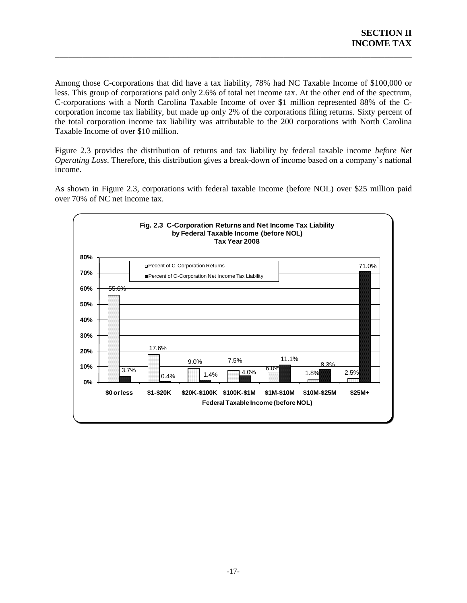Among those C-corporations that did have a tax liability, 78% had NC Taxable Income of \$100,000 or less. This group of corporations paid only 2.6% of total net income tax. At the other end of the spectrum, C-corporations with a North Carolina Taxable Income of over \$1 million represented 88% of the Ccorporation income tax liability, but made up only 2% of the corporations filing returns. Sixty percent of the total corporation income tax liability was attributable to the 200 corporations with North Carolina Taxable Income of over \$10 million.

\_\_\_\_\_\_\_\_\_\_\_\_\_\_\_\_\_\_\_\_\_\_\_\_\_\_\_\_\_\_\_\_\_\_\_\_\_\_\_\_\_\_\_\_\_\_\_\_\_\_\_\_\_\_\_\_\_\_\_\_\_\_\_\_\_\_\_\_\_\_\_\_\_\_\_\_\_\_

Figure 2.3 provides the distribution of returns and tax liability by federal taxable income *before Net Operating Loss*. Therefore, this distribution gives a break-down of income based on a company's national income.

As shown in Figure 2.3, corporations with federal taxable income (before NOL) over \$25 million paid over 70% of NC net income tax.

<span id="page-22-0"></span>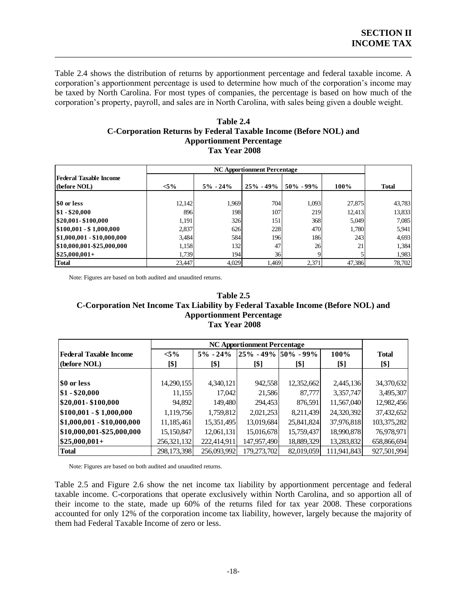Table 2.4 shows the distribution of returns by apportionment percentage and federal taxable income. A corporation's apportionment percentage is used to determine how much of the corporation's income may be taxed by North Carolina. For most types of companies, the percentage is based on how much of the corporation's property, payroll, and sales are in North Carolina, with sales being given a double weight.

\_\_\_\_\_\_\_\_\_\_\_\_\_\_\_\_\_\_\_\_\_\_\_\_\_\_\_\_\_\_\_\_\_\_\_\_\_\_\_\_\_\_\_\_\_\_\_\_\_\_\_\_\_\_\_\_\_\_\_\_\_\_\_\_\_\_\_\_\_\_\_\_\_\_\_\_\_\_

#### **Table 2.4 C-Corporation Returns by Federal Taxable Income (Before NOL) and Apportionment Percentage Tax Year 2008**

<span id="page-23-0"></span>

|                                               |         | гах теаг 2008 |                                    |               |        |              |
|-----------------------------------------------|---------|---------------|------------------------------------|---------------|--------|--------------|
|                                               |         |               | <b>NC Apportionment Percentage</b> |               |        |              |
| <b>Federal Taxable Income</b><br>(before NOL) | $< 5\%$ | $5\% - 24\%$  | $25\% - 49\%$                      | $50\% - 99\%$ | 100%   | <b>Total</b> |
| \$0 or less                                   | 12,142  | 1.969         | 704                                | 1,093         | 27,875 | 43,783       |
| $$1 - $20,000$                                | 896     | 198           | 107                                | 219           | 12.413 | 13,833       |
| \$20,001-\$100,000                            | 1,191   | 326           | 151                                | 368           | 5,049  | 7,085        |
| $$100,001 - $1,000,000$                       | 2,837   | 626           | 228                                | 470           | 1.780  | 5,941        |
| $\mid$ \$1,000,001 - \$10,000,000             | 3,484   | 584           | 196                                | 186           | 243    | 4,693        |
| \$10,000,001-\$25,000,000                     | 1,158   | 132           | 47                                 | 26            | 21     | 1,384        |
| $$25,000,001+$                                | 1,739   | 1941          | 36                                 |               |        | 1,983        |
| <b>Total</b>                                  | 23,447  | 4,029         | 1,469                              | 2,371         | 47,386 | 78,702       |

<span id="page-23-1"></span>Note: Figures are based on both audited and unaudited returns.

#### **Table 2.5 C-Corporation Net Income Tax Liability by Federal Taxable Income (Before NOL) and Apportionment Percentage Tax Year 2008**

| Tax Year 2008              |             |                                    |             |                             |             |              |  |  |  |  |
|----------------------------|-------------|------------------------------------|-------------|-----------------------------|-------------|--------------|--|--|--|--|
|                            |             | <b>NC Apportionment Percentage</b> |             |                             |             |              |  |  |  |  |
| Federal Taxable Income     | $< 5\%$     | $5\% - 24\%$                       |             | $ 25\% - 49\% 50\% - 99\% $ | 100%        | <b>Total</b> |  |  |  |  |
| (before NOL)               | [\$]        | [\$]                               | [\$]        | [\$]                        | [\$]        | [\$]         |  |  |  |  |
|                            |             |                                    |             |                             |             |              |  |  |  |  |
| <b>SO or less</b>          | 14,290,155  | 4,340,121                          | 942,558     | 12,352,662                  | 2,445,136   | 34,370,632   |  |  |  |  |
| $\$1 - \$20,000$           | 11,155      | 17,042                             | 21,586      | 87,777                      | 3,357,747   | 3,495,307    |  |  |  |  |
| \$20,001-\$100,000         | 94.892      | 149,480                            | 294,453     | 876,591                     | 11,567,040  | 12,982,456   |  |  |  |  |
| $$100,001 - $1,000,000$    | 1,119,756   | 1,759,812                          | 2,021,253   | 8,211,439                   | 24,320,392  | 37,432,652   |  |  |  |  |
| $$1,000,001 - $10,000,000$ | 11,185,461  | 15,351,495                         | 13,019,684  | 25,841,824                  | 37,976,818  | 103,375,282  |  |  |  |  |
| \$10,000,001-\$25,000,000  | 15,150,847  | 12,061,131                         | 15,016,678  | 15,759,437                  | 18,990,878  | 76,978,971   |  |  |  |  |
| $$25,000,001+$             | 256,321,132 | 222,414,911                        | 147,957,490 | 18,889,329                  | 13,283,832  | 658,866,694  |  |  |  |  |
| <b>Total</b>               | 298,173,398 | 256,093,992                        | 179,273,702 | 82,019,059                  | 111,941,843 | 927,501,994  |  |  |  |  |

Note: Figures are based on both audited and unaudited returns.

Table 2.5 and Figure 2.6 show the net income tax liability by apportionment percentage and federal taxable income. C-corporations that operate exclusively within North Carolina, and so apportion all of their income to the state, made up 60% of the returns filed for tax year 2008. These corporations accounted for only 12% of the corporation income tax liability, however, largely because the majority of them had Federal Taxable Income of zero or less.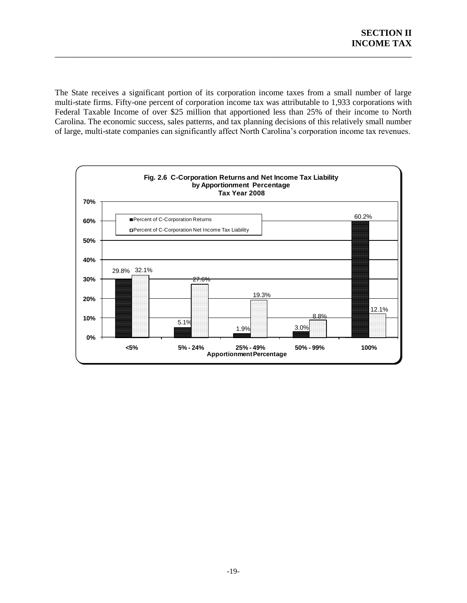The State receives a significant portion of its corporation income taxes from a small number of large multi-state firms. Fifty-one percent of corporation income tax was attributable to 1,933 corporations with Federal Taxable Income of over \$25 million that apportioned less than 25% of their income to North Carolina. The economic success, sales patterns, and tax planning decisions of this relatively small number of large, multi-state companies can significantly affect North Carolina's corporation income tax revenues.

<span id="page-24-0"></span>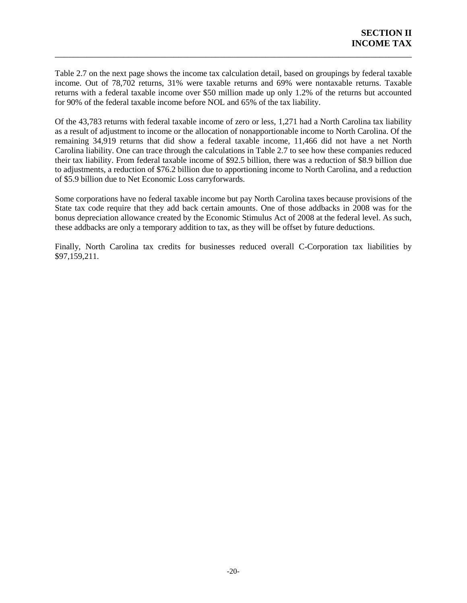Table 2.7 on the next page shows the income tax calculation detail, based on groupings by federal taxable income. Out of 78,702 returns, 31% were taxable returns and 69% were nontaxable returns. Taxable returns with a federal taxable income over \$50 million made up only 1.2% of the returns but accounted for 90% of the federal taxable income before NOL and 65% of the tax liability.

\_\_\_\_\_\_\_\_\_\_\_\_\_\_\_\_\_\_\_\_\_\_\_\_\_\_\_\_\_\_\_\_\_\_\_\_\_\_\_\_\_\_\_\_\_\_\_\_\_\_\_\_\_\_\_\_\_\_\_\_\_\_\_\_\_\_\_\_\_\_\_\_\_\_\_\_\_\_

Of the 43,783 returns with federal taxable income of zero or less, 1,271 had a North Carolina tax liability as a result of adjustment to income or the allocation of nonapportionable income to North Carolina. Of the remaining 34,919 returns that did show a federal taxable income, 11,466 did not have a net North Carolina liability. One can trace through the calculations in Table 2.7 to see how these companies reduced their tax liability. From federal taxable income of \$92.5 billion, there was a reduction of \$8.9 billion due to adjustments, a reduction of \$76.2 billion due to apportioning income to North Carolina, and a reduction of \$5.9 billion due to Net Economic Loss carryforwards.

Some corporations have no federal taxable income but pay North Carolina taxes because provisions of the State tax code require that they add back certain amounts. One of those addbacks in 2008 was for the bonus depreciation allowance created by the Economic Stimulus Act of 2008 at the federal level. As such, these addbacks are only a temporary addition to tax, as they will be offset by future deductions.

Finally, North Carolina tax credits for businesses reduced overall C-Corporation tax liabilities by \$97,159,211.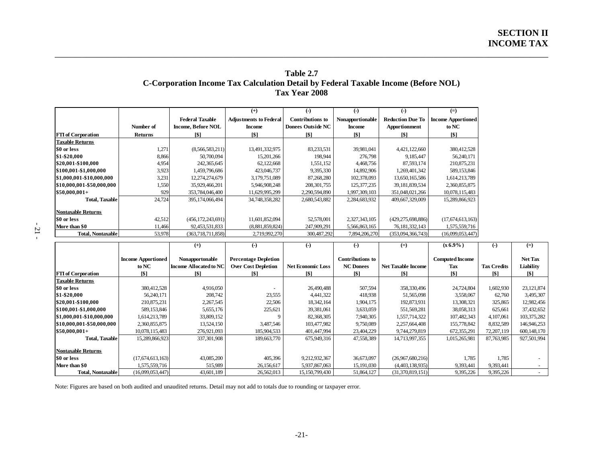#### **Table 2.7 C-Corporation Income Tax Calculation Detail by Federal Taxable Income (Before NOL) Tax Year 2008**

\_\_\_\_\_\_\_\_\_\_\_\_\_\_\_\_\_\_\_\_\_\_\_\_\_\_\_\_\_\_\_\_\_\_\_\_\_\_\_\_\_\_\_\_\_\_\_\_\_\_\_\_\_\_\_\_\_\_\_\_\_\_\_\_\_\_\_\_\_\_\_\_\_\_\_\_\_\_\_\_\_\_\_\_\_\_\_\_\_\_\_\_\_\_\_\_\_\_\_\_\_\_\_\_\_\_\_\_

|                           |                    |                           | $(+)$                         | $\left($ -)              | $(-)$              | $\left( \text{-} \right)$ | $(=)$                     |                   |        |
|---------------------------|--------------------|---------------------------|-------------------------------|--------------------------|--------------------|---------------------------|---------------------------|-------------------|--------|
|                           |                    | <b>Federal Taxable</b>    | <b>Adjustments to Federal</b> | Contributions to         | Nonapportionable   | <b>Reduction Due To</b>   | <b>Income Apportioned</b> |                   |        |
|                           | Number of          | <b>Income, Before NOL</b> | <b>Income</b>                 | <b>Donees Outside NC</b> | <b>Income</b>      | <b>Apportionment</b>      | to NC                     |                   |        |
| <b>FTI</b> of Corporation | Returns            | $\lceil \$ \rceil$        | [\$]                          | [\$]                     | $\lceil \$ \rceil$ | [\$]                      | [\$]                      |                   |        |
| <b>Taxable Returns</b>    |                    |                           |                               |                          |                    |                           |                           |                   |        |
| \$0 or less               | 1,271              | (8,566,583,211)           | 13,491,332,975                | 83,233,531               | 39,981,041         | 4,421,122,660             | 380,412,528               |                   |        |
| \$1-\$20,000              | 8,866              | 50,700,094                | 15,201,266                    | 198,944                  | 276,798            | 9,185,447                 | 56,240,171                |                   |        |
| \$20,001-\$100,000        | 4,954              | 242,365,645               | 62,122,668                    | 1,551,152                | 4,468,756          | 87,593,174                | 210,875,231               |                   |        |
| \$100,001-\$1,000,000     | 3,923              | 1,459,796,686             | 423,046,737                   | 9,395,330                | 14,892,906         | 1,269,401,342             | 589,153,846               |                   |        |
| \$1,000,001-\$10,000,000  | 3,231              | 12,274,274,679            | 3,179,751,089                 | 87,268,280               | 102,378,093        | 13,650,165,586            | 1,614,213,789             |                   |        |
| \$10,000,001-\$50,000,000 | 1,550              | 35,929,466,201            | 5,946,908,248                 | 208, 301, 755            | 125, 377, 235      | 39, 181, 839, 534         | 2,360,855,875             |                   |        |
| $$50,000,001+$            | 929                | 353,784,046,400           | 11,629,995,299                | 2,290,594,890            | 1,997,309,103      | 351,048,021,266           | 10,078,115,483            |                   |        |
| <b>Total, Taxable</b>     | 24,724             | 395,174,066,494           | 34,748,358,282                | 2,680,543,882            | 2,284,683,932      | 409,667,329,009           | 15,289,866,923            |                   |        |
| <b>Nontaxable Returns</b> |                    |                           |                               |                          |                    |                           |                           |                   |        |
| \$0 or less               | 42,512             | (456, 172, 243, 691)      | 11,601,852,094                | 52,578,001               | 2,327,343,105      | (429, 275, 698, 886)      | (17,674,613,163)          |                   |        |
| More than \$0             | 11,466             | 92,453,531,833            | (8,881,859,824)               | 247,909,291              | 5,566,863,165      | 76, 181, 332, 143         | 1,575,559,716             |                   |        |
| <b>Total, Nontaxable</b>  | 53,978             | (363, 718, 711, 858)      | 2,719,992,270                 | 300,487,292              | 7,894,206,270      | (353,094,366,743)         | (16,099,053,447)          |                   |        |
|                           |                    | $^{(+)}$                  | $(-)$                         | $\left( -\right)$        | $(-)$              | $(=)$                     | $(x 6.9\%)$               | $\left( -\right)$ |        |
|                           | Income Apportioned | Nonannortonable           | Percentage Depletion          |                          | Contributions to   |                           | <b>Commited Income</b>    |                   | Net To |

<span id="page-26-0"></span>

|                           |                           | $(+)$                  | $(-)$                       | $(-)$                    | $(-)$                   | $(=)$                     | $(x 6.9\%)$            | $(-)$              | $(=)$          |
|---------------------------|---------------------------|------------------------|-----------------------------|--------------------------|-------------------------|---------------------------|------------------------|--------------------|----------------|
|                           | <b>Income Apportioned</b> | Nonapportonable        | <b>Percentage Depletion</b> |                          | <b>Contributions to</b> |                           | <b>Computed Income</b> |                    | <b>Net Tax</b> |
|                           | to NC                     | Income Allocated to NC | <b>Over Cost Depletion</b>  | <b>Net Economic Loss</b> | <b>NC</b> Donees        | <b>Net Taxable Income</b> | Tax                    | <b>Tax Credits</b> | Liability      |
| <b>FTI</b> of Corporation | [\$]                      | [\$]                   | [\$]                        | $\lceil \$ \rceil$       | [\$]                    | T\$1                      | [\$]                   | [\$]               | [\$]           |
| <b>Taxable Returns</b>    |                           |                        |                             |                          |                         |                           |                        |                    |                |
| \$0 or less               | 380,412,528               | 4,916,050              |                             | 26,490,488               | 507,594                 | 358,330,496               | 24,724,804             | 1,602,930          | 23, 121, 874   |
| \$1-\$20,000              | 56,240,171                | 208,742                | 23,555                      | 4,441,322                | 418,938                 | 51,565,098                | 3,558,067              | 62,760             | 3,495,307      |
| \$20,001-\$100,000        | 210,875,231               | 2,267,545              | 22,506                      | 18,342,164               | 1,904,175               | 192,873,931               | 13,308,321             | 325,865            | 12,982,456     |
| \$100,001-\$1,000,000     | 589,153,846               | 5,655,176              | 225,621                     | 39,381,061               | 3,633,059               | 551,569,281               | 38,058,313             | 625,661            | 37,432,652     |
| \$1,000,001-\$10,000,000  | 1,614,213,789             | 33,809,152             |                             | 82,368,305               | 7,940,305               | 1,557,714,322             | 107,482,343            | 4,107,061          | 103,375,282    |
| \$10,000,001-\$50,000,000 | 2,360,855,875             | 13,524,150             | 3,487,546                   | 103,477,982              | 9,750,089               | 2,257,664,408             | 155,778,842            | 8,832,589          | 146,946,253    |
| $$50,000,001+$            | 10,078,115,483            | 276,921,093            | 185,904,533                 | 401,447,994              | 23,404,229              | 9,744,279,819             | 672,355,291            | 72,207,119         | 600,148,170    |
| <b>Total, Taxable</b>     | 15,289,866,923            | 337,301,908            | 189,663,770                 | 675,949,316              | 47,558,389              | 14,713,997,355            | 1,015,265,981          | 87,763,985         | 927,501,994    |
| <b>Nontaxable Returns</b> |                           |                        |                             |                          |                         |                           |                        |                    |                |
| \$0 or less               | (17,674,613,163)          | 43,085,200             | 405,396                     | 9,212,932,367            | 36,673,097              | (26,967,680,216)          | 1,785                  | 1,785              |                |
| More than \$0             | 1,575,559,716             | 515,989                | 26,156,617                  | 5,937,867,063            | 15,191,030              | (4,403,138,935)           | 9,393,441              | 9,393,441          |                |
| Total, Nontaxable         | (16,099,053,447)          | 43,601,189             | 26,562,013                  | 15,150,799,430           | 51,864,127              | (31,370,819,151)          | 9,395,226              | 9,395,226          |                |

Note: Figures are based on both audited and unaudited returns. Detail may not add to totals due to rounding or taxpayer error.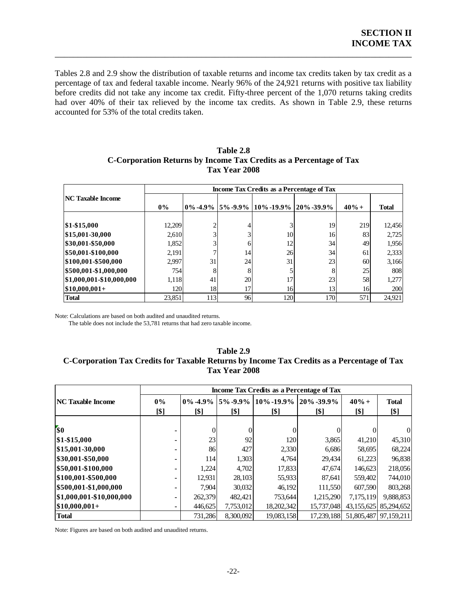Tables 2.8 and 2.9 show the distribution of taxable returns and income tax credits taken by tax credit as a percentage of tax and federal taxable income. Nearly 96% of the 24,921 returns with positive tax liability before credits did not take any income tax credit. Fifty-three percent of the 1,070 returns taking credits had over 40% of their tax relieved by the income tax credits. As shown in Table 2.9, these returns accounted for 53% of the total credits taken.

\_\_\_\_\_\_\_\_\_\_\_\_\_\_\_\_\_\_\_\_\_\_\_\_\_\_\_\_\_\_\_\_\_\_\_\_\_\_\_\_\_\_\_\_\_\_\_\_\_\_\_\_\_\_\_\_\_\_\_\_\_\_\_\_\_\_\_\_\_\_\_\_\_\_\_\_\_\_

<span id="page-27-0"></span>

|                          | Income Tax Credits as a Percentage of Tax |     |    |                                                   |            |         |              |  |  |  |
|--------------------------|-------------------------------------------|-----|----|---------------------------------------------------|------------|---------|--------------|--|--|--|
| <b>NC Taxable Income</b> | $0\%$                                     |     |    | $0\% -4.9\%$   5% -9.9%   10% -19.9%   20% -39.9% |            | $40% +$ | <b>Total</b> |  |  |  |
| \$1-\$15,000             | 12,209                                    |     | 4  | $\mathbf{3}$                                      | 19         | 219     | 12,456       |  |  |  |
| \$15,001-30,000          | 2,610                                     |     | 3  | 10                                                | 16         | 83      | 2,725        |  |  |  |
| \$30,001-\$50,000        | 1,852                                     | 3   | 6  | 12                                                | 34         | 49      | 1,956        |  |  |  |
| \$50,001-\$100,000       | 2,191                                     |     | 14 | 26                                                | 34         | 61      | 2,333        |  |  |  |
| \$100,001-\$500,000      | 2.997                                     | 31  | 24 | 31                                                | 23         | 60      | 3,166        |  |  |  |
| \$500,001-\$1,000,000    | 754                                       | 8   | 8  | 5                                                 | 8          | 25      | 808          |  |  |  |
| \$1,000,001-\$10,000,000 | 1,118                                     | 41  | 20 | 17                                                | 23         | 58      | 1,277        |  |  |  |
| $$10,000,001+$           | <b>120</b>                                | 18  | 17 | 16                                                | 13         | 16      | 200          |  |  |  |
| <b>Total</b>             | 23.851                                    | 113 | 96 | <b>120</b>                                        | <b>170</b> | 571     | 24,921       |  |  |  |

#### **Table 2.8 C-Corporation Returns by Income Tax Credits as a Percentage of Tax Tax Year 2008**

Note: Calculations are based on both audited and unaudited returns.

The table does not include the 53,781 returns that had zero taxable income.

#### <span id="page-27-1"></span>**Table 2.9 C-Corporation Tax Credits for Taxable Returns by Income Tax Credits as a Percentage of Tax Tax Year 2008**

| Tax Year 2008             |                                           |         |                               |                                      |            |                 |                       |  |  |  |
|---------------------------|-------------------------------------------|---------|-------------------------------|--------------------------------------|------------|-----------------|-----------------------|--|--|--|
|                           | Income Tax Credits as a Percentage of Tax |         |                               |                                      |            |                 |                       |  |  |  |
| <b> NC Taxable Income</b> | $0\%$<br>[\$]                             | [\$]    | 0% -4.9%   5% -9.9%  <br>[\$] | $10\% - 19.9\%$ 20\% -39.9\%<br>[\$] | [\$]       | $40% +$<br>[\$] | <b>Total</b><br>[\$]  |  |  |  |
| $\overline{\$0}$          |                                           |         |                               |                                      |            |                 | $\overline{0}$        |  |  |  |
| \$1-\$15,000              |                                           | 23      | 92                            | 120                                  | 3,865      | 41,210          | 45,310                |  |  |  |
| \$15,001-30,000           |                                           | 86      | 427                           | 2,330                                | 6,686      | 58,695          | 68,224                |  |  |  |
| \$30,001-\$50,000         |                                           | 114     | 1,303                         | 4,764                                | 29,434     | 61,223          | 96,838                |  |  |  |
| \$50,001-\$100,000        |                                           | 1,224   | 4,702                         | 17,833                               | 47,674     | 146,623         | 218,056               |  |  |  |
| \$100,001-\$500,000       | $\blacksquare$                            | 12,931  | 28,103                        | 55,933                               | 87,641     | 559,402         | 744,010               |  |  |  |
| \$500,001-\$1,000,000     |                                           | 7.904   | 30,032                        | 46,192                               | 111,550    | 607.590         | 803,268               |  |  |  |
| \$1,000,001-\$10,000,000  |                                           | 262,379 | 482,421                       | 753,644                              | 1,215,290  | 7,175,119       | 9,888,853             |  |  |  |
| $ $10,000,001+$           |                                           | 446,625 | 7,753,012                     | 18,202,342                           | 15,737,048 |                 | 43,155,625 85,294,652 |  |  |  |
| <b>Total</b>              |                                           | 731,286 | 8,300,092                     | 19,083,158                           | 17,239,188 |                 | 51,805,487 97,159,211 |  |  |  |

Note: Figures are based on both audited and unaudited returns.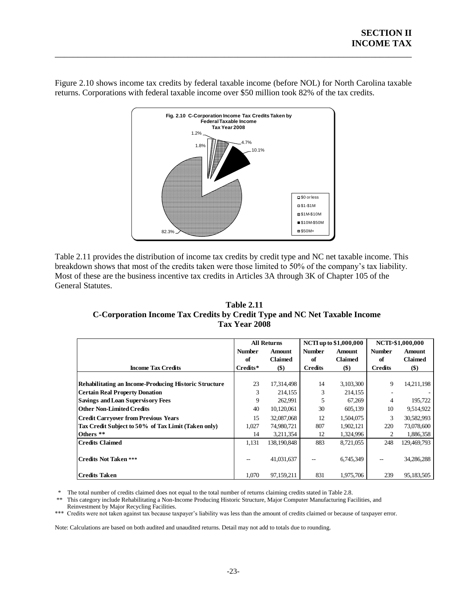

Figure 2.10 shows income tax credits by federal taxable income (before NOL) for North Carolina taxable returns. Corporations with federal taxable income over \$50 million took 82% of the tax credits.

\_\_\_\_\_\_\_\_\_\_\_\_\_\_\_\_\_\_\_\_\_\_\_\_\_\_\_\_\_\_\_\_\_\_\_\_\_\_\_\_\_\_\_\_\_\_\_\_\_\_\_\_\_\_\_\_\_\_\_\_\_\_\_\_\_\_\_\_\_\_\_\_\_\_\_\_\_\_

<span id="page-28-0"></span>Table 2.11 provides the distribution of income tax credits by credit type and NC net taxable income. This breakdown shows that most of the credits taken were those limited to 50% of the company's tax liability. Most of these are the business incentive tax credits in Articles 3A through 3K of Chapter 105 of the General Statutes.

<span id="page-28-1"></span>

| <b>Table 2.11</b>                                                         |
|---------------------------------------------------------------------------|
| C-Corporation Income Tax Credits by Credit Type and NC Net Taxable Income |
| Tax Year 2008                                                             |

|                                                              | <b>All Returns</b>       |               |                | NCTI up to \$1,000,000 | NCTL-\$1,000,000 |               |
|--------------------------------------------------------------|--------------------------|---------------|----------------|------------------------|------------------|---------------|
|                                                              | <b>Number</b>            | <b>Amount</b> | <b>Number</b>  | <b>Amount</b>          | <b>Number</b>    | <b>Amount</b> |
|                                                              | of                       | Claimed       | of             | <b>Claimed</b>         | of               | Claimed       |
| <b>Income Tax Credits</b>                                    | Credits*                 | $($)$         | <b>Credits</b> | $($)$                  | <b>Credits</b>   | $(\$)$        |
|                                                              |                          |               |                |                        |                  |               |
| <b>Rehabilitating an Income-Producing Historic Structure</b> | 23                       | 17,314,498    | 14             | 3,103,300              | 9                | 14,211,198    |
| <b>Certain Real Property Donation</b>                        | 3                        | 214,155       | 3              | 214,155                |                  |               |
| <b>Savings and Loan Supervisory Fees</b>                     | 9                        | 262,991       | 5              | 67,269                 | 4                | 195,722       |
| <b>Other Non-Limited Credits</b>                             | 40                       | 10,120,061    | 30             | 605,139                | 10               | 9,514,922     |
| <b>Credit Carryover from Previous Years</b>                  | 15                       | 32,087,068    | 12             | 1,504,075              | 3                | 30,582,993    |
| Tax Credit Subject to 50% of Tax Limit (Taken only)          | 1,027                    | 74,980,721    | 807            | 1,902,121              | 220              | 73,078,600    |
| Others **                                                    | 14                       | 3,211,354     | 12             | 1,324,996              | 2                | 1,886,358     |
| <b>Credits Claimed</b>                                       | 1,131                    | 138,190,848   | 883            | 8,721,055              | 248              | 129,469,793   |
|                                                              |                          |               |                |                        |                  |               |
| <b>Credits Not Taken ***</b>                                 | $\overline{\phantom{a}}$ | 41,031,637    | $- -$          | 6,745,349              | --               | 34,286,288    |
|                                                              |                          |               |                |                        |                  |               |
| Credits Taken                                                | 1,070                    | 97,159,211    | 831            | 1,975,706              | 239              | 95,183,505    |

\* The total number of credits claimed does not equal to the total number of returns claiming credits stated in Table 2.8.<br>\*\* This category include Rehabilitating a Non-Income Producing Historic Structure, Maior Computer Ma

This category include Rehabilitating a Non-Income Producing Historic Structure, Major Computer Manufacturing Facilities, and Reinvestment by Major Recycling Facilities.

\*\*\* Credits were not taken against tax because taxpayer's liability was less than the amount of credits claimed or because of taxpayer error.

Note: Calculations are based on both audited and unaudited returns. Detail may not add to totals due to rounding.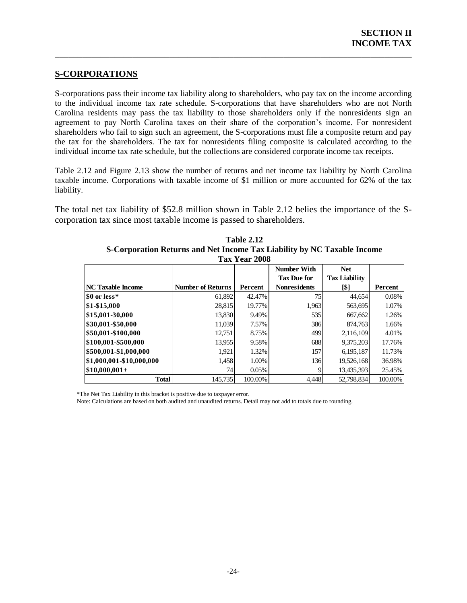## <span id="page-29-0"></span>**S-CORPORATIONS**

S-corporations pass their income tax liability along to shareholders, who pay tax on the income according to the individual income tax rate schedule. S-corporations that have shareholders who are not North Carolina residents may pass the tax liability to those shareholders only if the nonresidents sign an agreement to pay North Carolina taxes on their share of the corporation's income. For nonresident shareholders who fail to sign such an agreement, the S-corporations must file a composite return and pay the tax for the shareholders. The tax for nonresidents filing composite is calculated according to the individual income tax rate schedule, but the collections are considered corporate income tax receipts.

\_\_\_\_\_\_\_\_\_\_\_\_\_\_\_\_\_\_\_\_\_\_\_\_\_\_\_\_\_\_\_\_\_\_\_\_\_\_\_\_\_\_\_\_\_\_\_\_\_\_\_\_\_\_\_\_\_\_\_\_\_\_\_\_\_\_\_\_\_\_\_\_\_\_\_\_\_\_

Table 2.12 and Figure 2.13 show the number of returns and net income tax liability by North Carolina taxable income. Corporations with taxable income of \$1 million or more accounted for 62% of the tax liability.

<span id="page-29-1"></span>The total net tax liability of \$52.8 million shown in Table 2.12 belies the importance of the Scorporation tax since most taxable income is passed to shareholders.

|                          |                          | тах теаг дию |                     |                      |         |
|--------------------------|--------------------------|--------------|---------------------|----------------------|---------|
|                          |                          |              | Number With         | <b>Net</b>           |         |
|                          |                          |              | <b>Tax Due for</b>  | <b>Tax Liability</b> |         |
| <b>NC Taxable Income</b> | <b>Number of Returns</b> | Percent      | <b>Nonresidents</b> | [\$]                 | Percent |
| S0 or less*              | 61,892                   | 42.47%       | 75                  | 44,654               | 0.08%   |
| \$1-\$15,000             | 28,815                   | 19.77%       | 1,963               | 563,695              | 1.07%   |
| \$15,001-30,000          | 13,830                   | 9.49%        | 535                 | 667,662              | 1.26%   |
| \$30,001-\$50,000        | 11.039                   | 7.57%        | 386                 | 874.763              | 1.66%   |
| \$50,001-\$100,000       | 12,751                   | 8.75%        | 499                 | 2,116,109            | 4.01%   |
| \$100,001-\$500,000      | 13,955                   | 9.58%        | 688                 | 9,375,203            | 17.76%  |
| \$500,001-\$1,000,000    | 1,921                    | 1.32%        | 157                 | 6,195,187            | 11.73%  |
| \$1,000,001-\$10,000,000 | 1,458                    | 1.00%        | 136 <sup>I</sup>    | 19,526,168           | 36.98%  |
| $\$10,000,001+$          | 74                       | 0.05%        | Q                   | 13,435,393           | 25.45%  |
| <b>Total</b>             | 145.735                  | 100.00%      | 4,448               | 52,798,834           | 100.00% |

**Table 2.12 S-Corporation Returns and Net Income Tax Liability by NC Taxable Income Tax Year 2008**

\*The Net Tax Liability in this bracket is positive due to taxpayer error.

<span id="page-29-2"></span>Note: Calculations are based on both audited and unaudited returns. Detail may not add to totals due to rounding.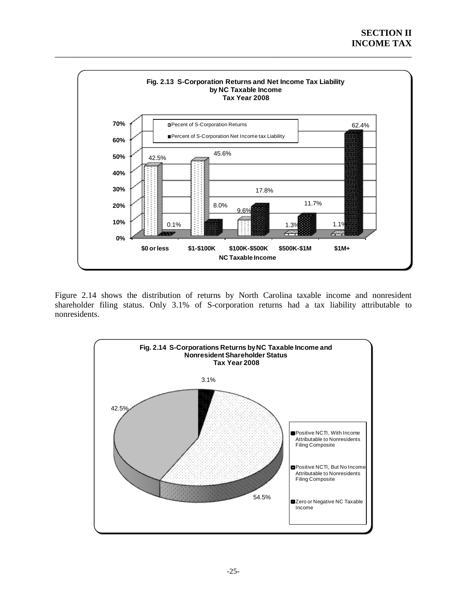

\_\_\_\_\_\_\_\_\_\_\_\_\_\_\_\_\_\_\_\_\_\_\_\_\_\_\_\_\_\_\_\_\_\_\_\_\_\_\_\_\_\_\_\_\_\_\_\_\_\_\_\_\_\_\_\_\_\_\_\_\_\_\_\_\_\_\_\_\_\_\_\_\_\_\_\_\_\_

<span id="page-30-0"></span>Figure 2.14 shows the distribution of returns by North Carolina taxable income and nonresident shareholder filing status. Only 3.1% of S-corporation returns had a tax liability attributable to nonresidents.

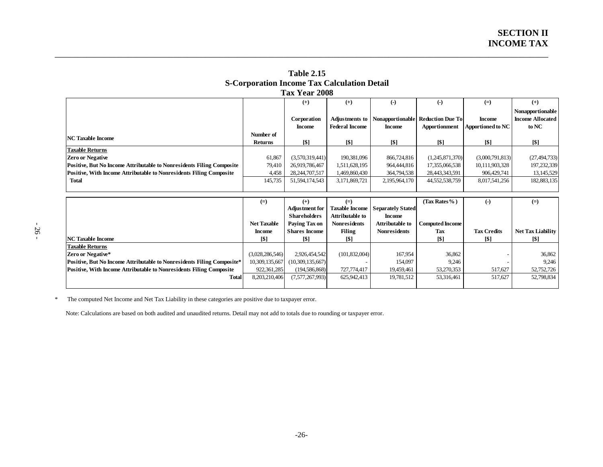|                                                                            |                    | 1 ax Year 2008        |                       |                          |                         |                    |                          |
|----------------------------------------------------------------------------|--------------------|-----------------------|-----------------------|--------------------------|-------------------------|--------------------|--------------------------|
|                                                                            |                    | $^{(+)}$              | $^{(+)}$              | $\left( -\right)$        | $\left( -\right)$       | $(=)$              | $^{(+)}$                 |
|                                                                            |                    |                       |                       |                          |                         |                    | Nonapportionable         |
|                                                                            |                    | Corporation           | Adjustments to        | Nonapportionable         | <b>Reduction Due To</b> | <b>Income</b>      | <b>Income Allocated</b>  |
|                                                                            |                    | <b>Income</b>         | <b>Federal Income</b> | <b>Income</b>            | <b>Apportionment</b>    | Apportioned to NC  | to NC                    |
| <b>NC</b> Taxable Income                                                   | Number of          |                       |                       |                          |                         |                    |                          |
|                                                                            | <b>Returns</b>     | [\$]                  | [\$]                  | <b>[\$]</b>              | [\$]                    | [\$]               | [\$]                     |
| <b>Taxable Returns</b>                                                     |                    |                       |                       |                          |                         |                    |                          |
| <b>Zero or Negative</b>                                                    | 61,867             | (3,570,319,441)       | 190,381,096           | 866,724,816              | (1,245,871,370)         | (3,000,791,813)    | (27, 494, 733)           |
| Positive, But No Income Attributable to Nonresidents Filing Composite      | 79,410             | 26,919,786,467        | 1,511,628,195         | 964,444,816              | 17,355,066,538          | 10,111,903,328     | 197,232,339              |
| Positive, With Income Attributable to Nonresidents Filing Composite        | 4,458              | 28, 244, 707, 517     | 1,469,860,430         | 364,794,538              | 28,443,343,591          | 906,429,741        | 13,145,529               |
| <b>Total</b>                                                               | 145,735            | 51, 594, 174, 543     | 3,171,869,721         | 2,195,964,170            | 44,552,538,759          | 8,017,541,256      | 182,883,135              |
|                                                                            |                    |                       |                       |                          |                         |                    |                          |
|                                                                            |                    |                       |                       |                          |                         |                    |                          |
|                                                                            | $(=)$              | $^{(+)}$              | $(=)$                 |                          | (Tax Rates%)            | $\left( -\right)$  | $(=)$                    |
|                                                                            |                    | <b>Adjustment for</b> | <b>Taxable Income</b> | <b>Separately Stated</b> |                         |                    |                          |
|                                                                            |                    | <b>Shareholders</b>   | Attributable to       | <b>Income</b>            |                         |                    |                          |
|                                                                            | <b>Net Taxable</b> | Paying Tax on         | <b>Nonresidents</b>   | <b>Attributable to</b>   | <b>Computed Income</b>  |                    |                          |
|                                                                            | <b>Income</b>      | <b>Shares Income</b>  | <b>Filing</b>         | <b>Nonresidents</b>      | Tax                     | <b>Tax Credits</b> | <b>Net Tax Liability</b> |
| <b>NC Taxable Income</b>                                                   | [\$]               | [\$]                  | [\$]                  |                          | $\lceil \$ \rceil$      | [\$]               | [\$]                     |
| <b>Taxable Returns</b>                                                     |                    |                       |                       |                          |                         |                    |                          |
| Zero or Negative*                                                          | (3,028,286,546)    | 2,926,454,542         | (101, 832, 004)       | 167,954                  | 36,862                  |                    | 36,862                   |
| Positive, But No Income Attributable to Nonresidents Filing Composite*     | 10,309,135,667     | (10,309,135,667)      |                       | 154,097                  | 9,246                   |                    | 9,246                    |
| <b>Positive, With Income Attributable to Nonresidents Filing Composite</b> | 922, 361, 285      | (194, 586, 868)       | 727,774,417           | 19,459,461               | 53,270,353              | 517,627            | 52,752,726               |
| <b>Total</b>                                                               | 8,203,210,406      | (7,577,267,993)       | 625,942,413           | 19,781,512               | 53,316,461              | 517,627            | 52,798,834               |

**Table 2.15 S-Corporation Income Tax Calculation Detail Tax Year 2008**

\_\_\_\_\_\_\_\_\_\_\_\_\_\_\_\_\_\_\_\_\_\_\_\_\_\_\_\_\_\_\_\_\_\_\_\_\_\_\_\_\_\_\_\_\_\_\_\_\_\_\_\_\_\_\_\_\_\_\_\_\_\_\_\_\_\_\_\_\_\_\_\_\_\_\_\_\_\_\_\_\_\_\_\_\_\_\_\_\_\_\_\_\_\_\_\_\_\_\_\_\_\_\_\_\_\_\_\_

<span id="page-31-0"></span>\* The computed Net Income and Net Tax Liability in these categories are positive due to taxpayer error.

Note: Calculations are based on both audited and unaudited returns. Detail may not add to totals due to rounding or taxpayer error.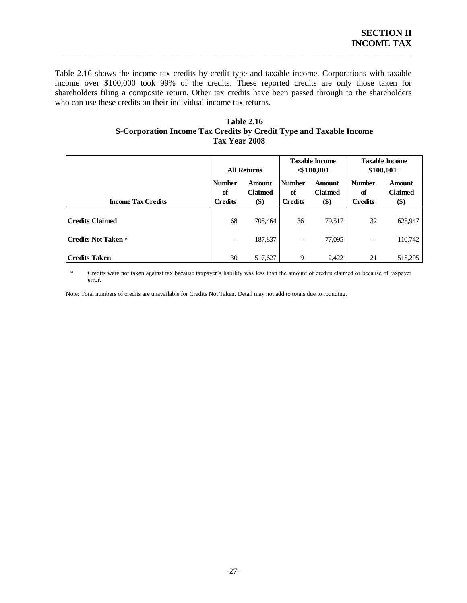Table 2.16 shows the income tax credits by credit type and taxable income. Corporations with taxable income over \$100,000 took 99% of the credits. These reported credits are only those taken for shareholders filing a composite return. Other tax credits have been passed through to the shareholders who can use these credits on their individual income tax returns.

\_\_\_\_\_\_\_\_\_\_\_\_\_\_\_\_\_\_\_\_\_\_\_\_\_\_\_\_\_\_\_\_\_\_\_\_\_\_\_\_\_\_\_\_\_\_\_\_\_\_\_\_\_\_\_\_\_\_\_\_\_\_\_\_\_\_\_\_\_\_\_\_\_\_\_\_\_\_

| <b>Table 2.16</b>                                                  |
|--------------------------------------------------------------------|
| S-Corporation Income Tax Credits by Credit Type and Taxable Income |
| <b>Tax Year 2008</b>                                               |

<span id="page-32-0"></span>

|                           | <b>All Returns</b>                    |                                        | <b>Taxable Income</b><br>$\leq 100,001$ |                                        | <b>Taxable Income</b><br>$$100,001+$  |                                 |
|---------------------------|---------------------------------------|----------------------------------------|-----------------------------------------|----------------------------------------|---------------------------------------|---------------------------------|
| <b>Income Tax Credits</b> | <b>Number</b><br>of<br><b>Credits</b> | <b>Amount</b><br><b>Claimed</b><br>\$) | <b>Number</b><br>of<br><b>Credits</b>   | <b>Amount</b><br><b>Claimed</b><br>\$) | <b>Number</b><br>of<br><b>Credits</b> | Amount<br><b>Claimed</b><br>\$) |
| <b>Credits Claimed</b>    | 68                                    | 705,464                                | 36                                      | 79,517                                 | 32                                    | 625,947                         |
| Credits Not Taken *       | $\hspace{0.05cm}$ – $\hspace{0.05cm}$ | 187,837                                | $\qquad \qquad -$                       | 77,095                                 | $\qquad \qquad -$                     | 110,742                         |
| <b>Credits Taken</b>      | 30                                    | 517,627                                | 9                                       | 2,422                                  | 21                                    | 515,205                         |

 \* Credits were not taken against tax because taxpayer's liability was less than the amount of credits claimed or because of taxpayer error.

Note: Total numbers of credits are unavailable for Credits Not Taken. Detail may not add to totals due to rounding.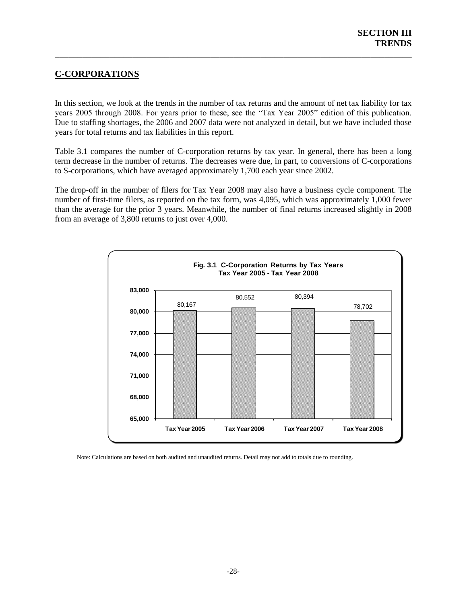## <span id="page-33-0"></span>**C-CORPORATIONS**

In this section, we look at the trends in the number of tax returns and the amount of net tax liability for tax years 2005 through 2008. For years prior to these, see the "Tax Year 2005" edition of this publication. Due to staffing shortages, the 2006 and 2007 data were not analyzed in detail, but we have included those years for total returns and tax liabilities in this report.

\_\_\_\_\_\_\_\_\_\_\_\_\_\_\_\_\_\_\_\_\_\_\_\_\_\_\_\_\_\_\_\_\_\_\_\_\_\_\_\_\_\_\_\_\_\_\_\_\_\_\_\_\_\_\_\_\_\_\_\_\_\_\_\_\_\_\_\_\_\_\_\_\_\_\_\_\_\_

Table 3.1 compares the number of C-corporation returns by tax year. In general, there has been a long term decrease in the number of returns. The decreases were due, in part, to conversions of C-corporations to S-corporations, which have averaged approximately 1,700 each year since 2002.

The drop-off in the number of filers for Tax Year 2008 may also have a business cycle component. The number of first-time filers, as reported on the tax form, was 4,095, which was approximately 1,000 fewer than the average for the prior 3 years. Meanwhile, the number of final returns increased slightly in 2008 from an average of 3,800 returns to just over 4,000.

<span id="page-33-1"></span>

<span id="page-33-2"></span>Note: Calculations are based on both audited and unaudited returns. Detail may not add to totals due to rounding.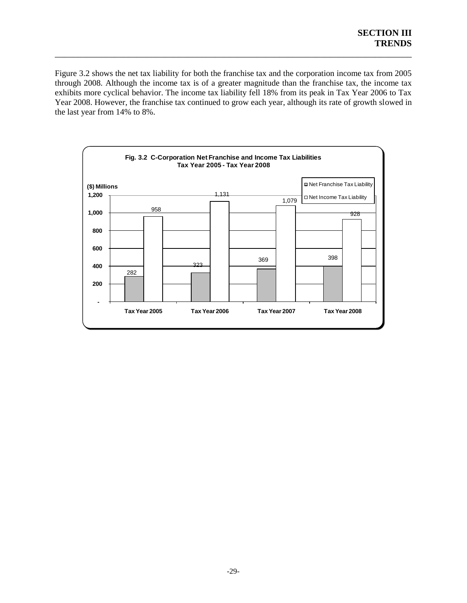Figure 3.2 shows the net tax liability for both the franchise tax and the corporation income tax from 2005 through 2008. Although the income tax is of a greater magnitude than the franchise tax, the income tax exhibits more cyclical behavior. The income tax liability fell 18% from its peak in Tax Year 2006 to Tax Year 2008. However, the franchise tax continued to grow each year, although its rate of growth slowed in the last year from 14% to 8%.

<span id="page-34-0"></span>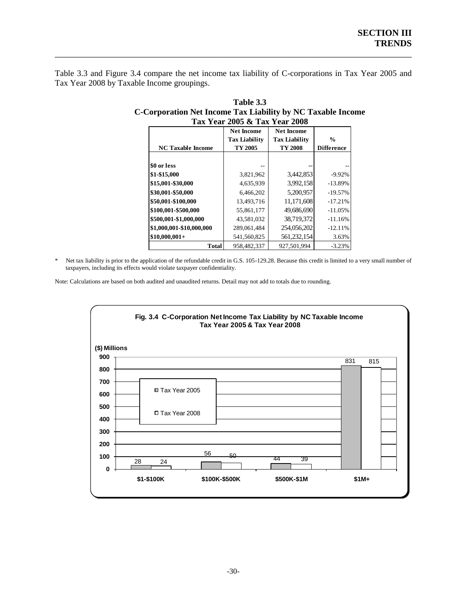Table 3.3 and Figure 3.4 compare the net income tax liability of C-corporations in Tax Year 2005 and Tax Year 2008 by Taxable Income groupings.

\_\_\_\_\_\_\_\_\_\_\_\_\_\_\_\_\_\_\_\_\_\_\_\_\_\_\_\_\_\_\_\_\_\_\_\_\_\_\_\_\_\_\_\_\_\_\_\_\_\_\_\_\_\_\_\_\_\_\_\_\_\_\_\_\_\_\_\_\_\_\_\_\_\_\_\_\_\_

|                          | Tax Year 2005 & Tax Year 2008 |                      |                   |  |
|--------------------------|-------------------------------|----------------------|-------------------|--|
|                          | <b>Net Income</b>             | <b>Net Income</b>    |                   |  |
|                          | <b>Tax Liability</b>          | <b>Tax Liability</b> | $\%$              |  |
| <b>NC Taxable Income</b> | TY 2005                       | TY 2008              | <b>Difference</b> |  |
|                          |                               |                      |                   |  |
| \$0 or less              |                               |                      |                   |  |
| \$1-\$15,000             | 3,821,962                     | 3,442,853            | $-9.92%$          |  |
| \$15,001-\$30,000        | 4,635,939                     | 3,992,158            | $-13.89%$         |  |
| \$30,001-\$50,000        | 6.466.202                     | 5.200.957            | $-19.57%$         |  |
| \$50,001-\$100,000       | 13,493,716                    | 11,171,608           | $-17.21%$         |  |
| \$100,001-\$500,000      | 55,861,177                    | 49,686,690           | $-11.05%$         |  |
| \$500,001-\$1,000,000    | 43,581,032                    | 38,719,372           | $-11.16%$         |  |
| \$1,000,001-\$10,000,000 | 289,061,484                   | 254,056,202          | $-12.11%$         |  |
| $$10,000,001+$           | 541,560,825                   | 561,232,154          | 3.63%             |  |
| <b>Total</b>             | 958.482.337                   | 927.501.994          | $-3.23%$          |  |

| Table 3.3                                                   |
|-------------------------------------------------------------|
| C-Corporation Net Income Tax Liability by NC Taxable Income |
| Tax Year 2005 & Tax Year 2008                               |

\* Net tax liability is prior to the application of the refundable credit in G.S. 105-129.28. Because this credit is limited to a very small number of taxpayers, including its effects would violate taxpayer confidentiality.

<span id="page-35-0"></span>Note: Calculations are based on both audited and unaudited returns. Detail may not add to totals due to rounding.

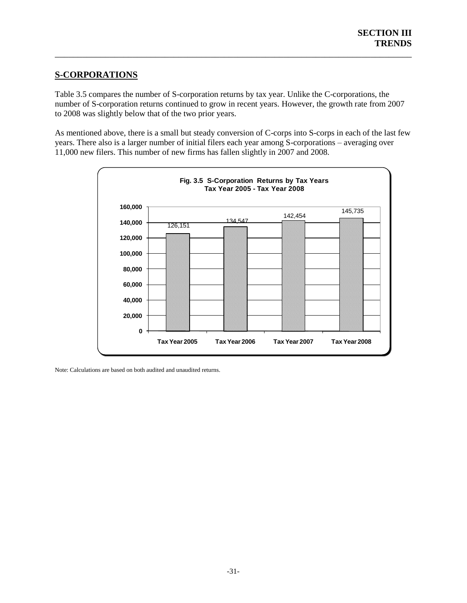## **S-CORPORATIONS**

Table 3.5 compares the number of S-corporation returns by tax year. Unlike the C-corporations, the number of S-corporation returns continued to grow in recent years. However, the growth rate from 2007 to 2008 was slightly below that of the two prior years.

\_\_\_\_\_\_\_\_\_\_\_\_\_\_\_\_\_\_\_\_\_\_\_\_\_\_\_\_\_\_\_\_\_\_\_\_\_\_\_\_\_\_\_\_\_\_\_\_\_\_\_\_\_\_\_\_\_\_\_\_\_\_\_\_\_\_\_\_\_\_\_\_\_\_\_\_\_\_

As mentioned above, there is a small but steady conversion of C-corps into S-corps in each of the last few years. There also is a larger number of initial filers each year among S-corporations – averaging over 11,000 new filers. This number of new firms has fallen slightly in 2007 and 2008.



<span id="page-36-0"></span>Note: Calculations are based on both audited and unaudited returns.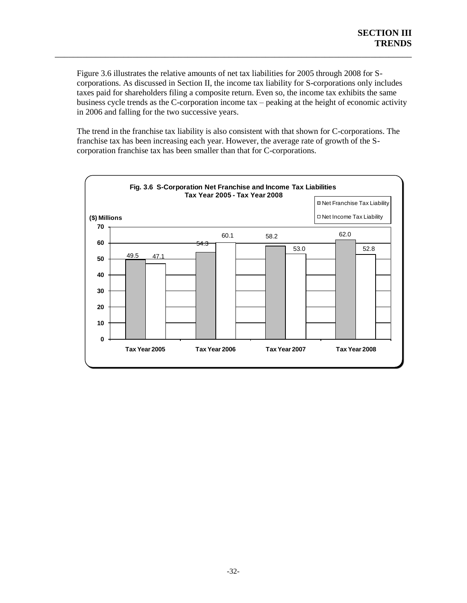Figure 3.6 illustrates the relative amounts of net tax liabilities for 2005 through 2008 for Scorporations. As discussed in Section II, the income tax liability for S-corporations only includes taxes paid for shareholders filing a composite return. Even so, the income tax exhibits the same business cycle trends as the C-corporation income tax – peaking at the height of economic activity in 2006 and falling for the two successive years.

\_\_\_\_\_\_\_\_\_\_\_\_\_\_\_\_\_\_\_\_\_\_\_\_\_\_\_\_\_\_\_\_\_\_\_\_\_\_\_\_\_\_\_\_\_\_\_\_\_\_\_\_\_\_\_\_\_\_\_\_\_\_\_\_\_\_\_\_\_\_\_\_\_\_\_\_\_\_

The trend in the franchise tax liability is also consistent with that shown for C-corporations. The franchise tax has been increasing each year. However, the average rate of growth of the Scorporation franchise tax has been smaller than that for C-corporations.